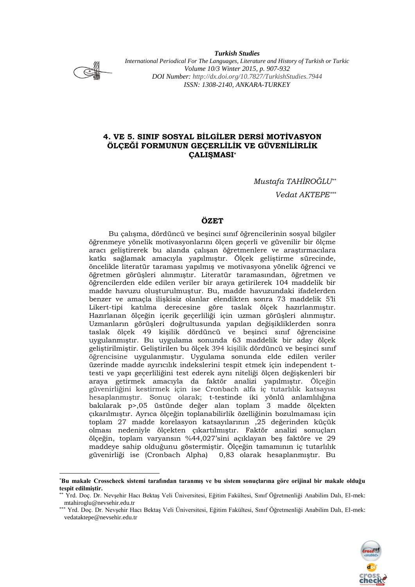

<u>.</u>

*Turkish Studies International Periodical For The Languages, Literature and History of Turkish or Turkic Volume 10/3 Winter 2015, p. 907-932 DOI Number:<http://dx.doi.org/10.7827/TurkishStudies.7944> ISSN: 1308-2140, ANKARA-TURKEY*

# **4. VE 5. SINIF SOSYAL BİLGİLER DERSİ MOTİVASYON ÖLÇEĞİ FORMUNUN GEÇERLİLİK VE GÜVENİLİRLİK ÇALIŞMASI\***

*Mustafa TAHİROĞLU\*\**

*Vedat AKTEPE\*\*\**

## **ÖZET**

Bu çalışma, dördüncü ve beşinci sınıf öğrencilerinin sosyal bilgiler öğrenmeye yönelik motivasyonlarını ölçen geçerli ve güvenilir bir ölçme aracı geliştirerek bu alanda çalışan öğretmenlere ve araştırmacılara katkı sağlamak amacıyla yapılmıştır. Ölçek geliştirme sürecinde, öncelikle literatür taraması yapılmış ve motivasyona yönelik öğrenci ve öğretmen görüşleri alınmıştır. Literatür taramasından, öğretmen ve öğrencilerden elde edilen veriler bir araya getirilerek 104 maddelik bir madde havuzu oluşturulmuştur. Bu, madde havuzundaki ifadelerden benzer ve amaçla ilişkisiz olanlar elendikten sonra 73 maddelik 5'li Likert-tipi katılma derecesine göre taslak ölçek hazırlanmıştır. Hazırlanan ölçeğin içerik geçerliliği için uzman görüşleri alınmıştır. Uzmanların görüşleri doğrultusunda yapılan değişikliklerden sonra taslak ölçek 49 kişilik dördüncü ve beşinci sınıf öğrencisine uygulanmıştır. Bu uygulama sonunda 63 maddelik bir aday ölçek geliştirilmiştir. Geliştirilen bu ölçek 394 kişilik dördüncü ve beşinci sınıf öğrencisine uygulanmıştır. Uygulama sonunda elde edilen veriler üzerinde madde ayırıcılık indekslerini tespit etmek için independent ttesti ve yapı geçerliliğini test ederek aynı niteliği ölçen değişkenleri bir araya getirmek amacıyla da faktör analizi yapılmıştır. Ölçeğin güvenirliğini kestirmek için ise Cronbach alfa iç tutarlılık katsayısı hesaplanmıştır. Sonuç olarak; t-testinde iki yönlü anlamlılığına bakılarak p>,05 üstünde değer alan toplam 3 madde ölçekten çıkarılmıştır. Ayrıca ölçeğin toplanabilirlik özelliğinin bozulmaması için toplam 27 madde korelasyon katsayılarının ,25 değerinden küçük olması nedeniyle ölçekten çıkartılmıştır. Faktör analizi sonuçları ölçeğin, toplam varyansın %44,027'sini açıklayan beş faktöre ve 29 maddeye sahip olduğunu göstermiştir. Ölçeğin tamamının iç tutarlılık güvenirliği ise (Cronbach Alpha) 0,83 olarak hesaplanmıştır. Bu

<sup>\*\*\*</sup> Yrd. Doç. Dr. Nevşehir Hacı Bektaş Veli Üniversitesi, Eğitim Fakültesi, Sınıf Öğretmenliği Anabilim Dalı, El-mek: vedataktepe@nevsehir.edu.tr



<sup>\*</sup>**Bu makale Crosscheck sistemi tarafından taranmış ve bu sistem sonuçlarına göre orijinal bir makale olduğu tespit edilmiştir.**

<sup>\*\*</sup> Yrd. Doç. Dr. Nevşehir Hacı Bektaş Veli Üniversitesi, Eğitim Fakültesi, Sınıf Öğretmenliği Anabilim Dalı, El-mek: mtahiroglu@nevsehir.edu.tr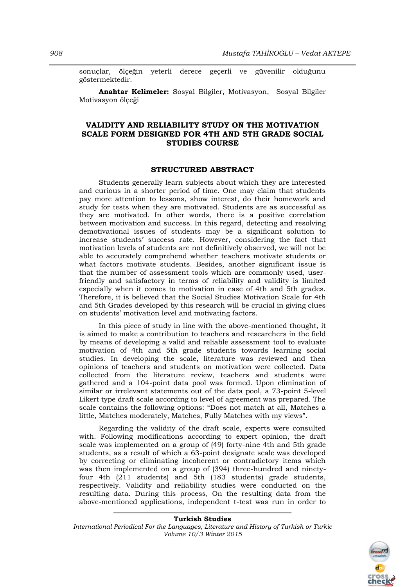sonuçlar, ölçeğin yeterli derece geçerli ve güvenilir olduğunu göstermektedir.

**Anahtar Kelimeler:** Sosyal Bilgiler, Motivasyon, Sosyal Bilgiler Motivasyon ölçeği

## **VALIDITY AND RELIABILITY STUDY ON THE MOTIVATION SCALE FORM DESIGNED FOR 4TH AND 5TH GRADE SOCIAL STUDIES COURSE**

## **STRUCTURED ABSTRACT**

Students generally learn subjects about which they are interested and curious in a shorter period of time. One may claim that students pay more attention to lessons, show interest, do their homework and study for tests when they are motivated. Students are as successful as they are motivated. In other words, there is a positive correlation between motivation and success. In this regard, detecting and resolving demotivational issues of students may be a significant solution to increase students' success rate. However, considering the fact that motivation levels of students are not definitively observed, we will not be able to accurately comprehend whether teachers motivate students or what factors motivate students. Besides, another significant issue is that the number of assessment tools which are commonly used, userfriendly and satisfactory in terms of reliability and validity is limited especially when it comes to motivation in case of 4th and 5th grades. Therefore, it is believed that the Social Studies Motivation Scale for 4th and 5th Grades developed by this research will be crucial in giving clues on students' motivation level and motivating factors.

In this piece of study in line with the above-mentioned thought, it is aimed to make a contribution to teachers and researchers in the field by means of developing a valid and reliable assessment tool to evaluate motivation of 4th and 5th grade students towards learning social studies. In developing the scale, literature was reviewed and then opinions of teachers and students on motivation were collected. Data collected from the literature review, teachers and students were gathered and a 104-point data pool was formed. Upon elimination of similar or irrelevant statements out of the data pool, a 73-point 5-level Likert type draft scale according to level of agreement was prepared. The scale contains the following options: "Does not match at all, Matches a little, Matches moderately, Matches, Fully Matches with my views".

Regarding the validity of the draft scale, experts were consulted with. Following modifications according to expert opinion, the draft scale was implemented on a group of (49) forty-nine 4th and 5th grade students, as a result of which a 63-point designate scale was developed by correcting or eliminating incoherent or contradictory items which was then implemented on a group of (394) three-hundred and ninetyfour 4th (211 students) and 5th (183 students) grade students, respectively. Validity and reliability studies were conducted on the resulting data. During this process, On the resulting data from the above-mentioned applications, independent t-test was run in order to

#### **Turkish Studies**

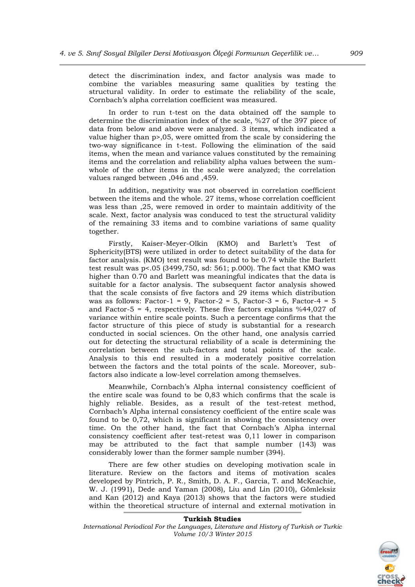detect the discrimination index, and factor analysis was made to combine the variables measuring same qualities by testing the structural validity. In order to estimate the reliability of the scale, Cornbach's alpha correlation coefficient was measured.

In order to run t-test on the data obtained off the sample to determine the discrimination index of the scale, %27 of the 397 piece of data from below and above were analyzed. 3 items, which indicated a value higher than p>,05, were omitted from the scale by considering the two-way significance in t-test. Following the elimination of the said items, when the mean and variance values constituted by the remaining items and the correlation and reliability alpha values between the sumwhole of the other items in the scale were analyzed; the correlation values ranged between ,046 and ,459.

In addition, negativity was not observed in correlation coefficient between the items and the whole. 27 items, whose correlation coefficient was less than ,25, were removed in order to maintain additivity of the scale. Next, factor analysis was conduced to test the structural validity of the remaining 33 items and to combine variations of same quality together.

Firstly, Kaiser-Meyer-Olkin (KMO) and Barlett's Test of Sphericity(BTS) were utilized in order to detect suitability of the data for factor analysis. (KMO) test result was found to be 0.74 while the Barlett test result was p<.05 (3499,750, sd: 561; p.000). The fact that KMO was higher than 0.70 and Barlett was meaningful indicates that the data is suitable for a factor analysis. The subsequent factor analysis showed that the scale consists of five factors and 29 items which distribution was as follows: Factor-1 = 9, Factor-2 = 5, Factor-3 = 6, Factor-4 = 5 and Factor-5 = 4, respectively. These five factors explains  $%44,027$  of variance within entire scale points. Such a percentage confirms that the factor structure of this piece of study is substantial for a research conducted in social sciences. On the other hand, one analysis carried out for detecting the structural reliability of a scale is determining the correlation between the sub-factors and total points of the scale. Analysis to this end resulted in a moderately positive correlation between the factors and the total points of the scale. Moreover, subfactors also indicate a low-level correlation among themselves.

Meanwhile, Cornbach's Alpha internal consistency coefficient of the entire scale was found to be 0,83 which confirms that the scale is highly reliable. Besides, as a result of the test-retest method, Cornbach's Alpha internal consistency coefficient of the entire scale was found to be 0,72, which is significant in showing the consistency over time. On the other hand, the fact that Cornbach's Alpha internal consistency coefficient after test-retest was 0,11 lower in comparison may be attributed to the fact that sample number (143) was considerably lower than the former sample number (394).

There are few other studies on developing motivation scale in literature. Review on the factors and items of motivation scales developed by Pintrich, P. R., Smith, D. A. F., Garcia, T. and McKeachie, W. J. (1991), Dede and Yaman (2008), Liu and Lin (2010), Gömleksiz and Kan (2012) and Kaya (2013) shows that the factors were studied within the theoretical structure of internal and external motivation in

#### **Turkish Studies**

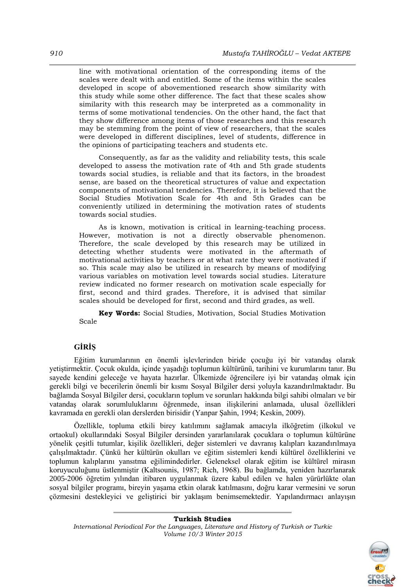line with motivational orientation of the corresponding items of the scales were dealt with and entitled. Some of the items within the scales developed in scope of abovementioned research show similarity with this study while some other difference. The fact that these scales show similarity with this research may be interpreted as a commonality in terms of some motivational tendencies. On the other hand, the fact that they show difference among items of those researches and this research may be stemming from the point of view of researchers, that the scales were developed in different disciplines, level of students, difference in the opinions of participating teachers and students etc.

Consequently, as far as the validity and reliability tests, this scale developed to assess the motivation rate of 4th and 5th grade students towards social studies, is reliable and that its factors, in the broadest sense, are based on the theoretical structures of value and expectation components of motivational tendencies. Therefore, it is believed that the Social Studies Motivation Scale for 4th and 5th Grades can be conveniently utilized in determining the motivation rates of students towards social studies.

As is known, motivation is critical in learning-teaching process. However, motivation is not a directly observable phenomenon. Therefore, the scale developed by this research may be utilized in detecting whether students were motivated in the aftermath of motivational activities by teachers or at what rate they were motivated if so. This scale may also be utilized in research by means of modifying various variables on motivation level towards social studies. Literature review indicated no former research on motivation scale especially for first, second and third grades. Therefore, it is advised that similar scales should be developed for first, second and third grades, as well.

**Key Words:** Social Studies, Motivation, Social Studies Motivation Scale

# **GİRİŞ**

Eğitim kurumlarının en önemli işlevlerinden biride çocuğu iyi bir vatandaş olarak yetiştirmektir. Çocuk okulda, içinde yaşadığı toplumun kültürünü, tarihini ve kurumlarını tanır. Bu sayede kendini geleceğe ve hayata hazırlar. Ülkemizde öğrencilere iyi bir vatandaş olmak için gerekli bilgi ve becerilerin önemli bir kısmı Sosyal Bilgiler dersi yoluyla kazandırılmaktadır. Bu bağlamda Sosyal Bilgiler dersi, çocukların toplum ve sorunları hakkında bilgi sahibi olmaları ve bir vatandaş olarak sorumluluklarını öğrenmede, insan ilişkilerini anlamada, ulusal özellikleri kavramada en gerekli olan derslerden birisidir (Yanpar Şahin, 1994; Keskin, 2009).

Özellikle, topluma etkili birey katılımını sağlamak amacıyla ilköğretim (ilkokul ve ortaokul) okullarındaki Sosyal Bilgiler dersinden yararlanılarak çocuklara o toplumun kültürüne yönelik çeşitli tutumlar, kişilik özellikleri, değer sistemleri ve davranış kalıpları kazandırılmaya çalışılmaktadır. Çünkü her kültürün okulları ve eğitim sistemleri kendi kültürel özelliklerini ve toplumun kalıplarını yansıtma eğilimindedirler. Geleneksel olarak eğitim ise kültürel mirasın koruyuculuğunu üstlenmiştir (Kaltsounis, 1987; Rich, 1968). Bu bağlamda, yeniden hazırlanarak 2005-2006 öğretim yılından itibaren uygulanmak üzere kabul edilen ve halen yürürlükte olan sosyal bilgiler programı, bireyin yaşama etkin olarak katılmasını, doğru karar vermesini ve sorun çözmesini destekleyici ve geliştirici bir yaklaşım benimsemektedir. Yapılandırmacı anlayışın



**Turkish Studies** *International Periodical For the Languages, Literature and History of Turkish or Turkic Volume 10/3 Winter 2015*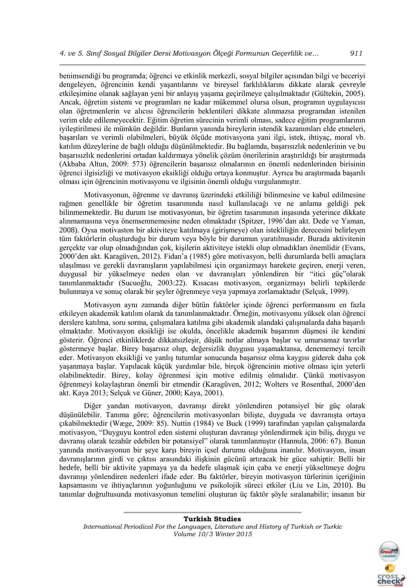benimsendiği bu programda; öğrenci ve etkinlik merkezli, sosyal bilgiler açısından bilgi ve beceriyi dengeleyen, öğrencinin kendi yaşantılarını ve bireysel farklılıklarını dikkate alarak çevreyle etkileşimine olanak sağlayan yeni bir anlayış yaşama geçirilmeye çalışılmaktadır (Gültekin, 2005). Ancak, öğretim sistemi ve programları ne kadar mükemmel olursa olsun, programın uygulayıcısı olan öğretmenlerin ve alıcısı öğrencilerin beklentileri dikkate alınmazsa programdan istenilen verim elde edilemeyecektir. Eğitim öğretim sürecinin verimli olması, sadece eğitim programlarının iyileştirilmesi ile mümkün değildir. Bunların yanında bireylerin istendik kazanımları elde etmeleri, başarıları ve verimli olabilmeleri, büyük ölçüde motivasyona yani ilgi, istek, ihtiyaç, moral vb. katılım düzeylerine de bağlı olduğu düşünülmektedir. Bu bağlamda, başarısızlık nedenlerinin ve bu başarısızlık nedenlerini ortadan kaldırmaya yönelik çözüm önerilerinin araştırıldığı bir araştırmada (Akbaba Altun, 2009: 573) öğrencilerin başarısız olmalarının en önemli nedenlerinden birisinin öğrenci ilgisizliği ve motivasyon eksikliği olduğu ortaya konmuştur. Ayrıca bu araştırmada başarılı olması için öğrencinin motivasyonu ve ilgisinin önemli olduğu vurgulanmıştır.

Motivasyonun, öğrenme ve davranış üzerindeki etkililiği bilinmesine ve kabul edilmesine rağmen genellikle bir öğretim tasarımında nasıl kullanılacağı ve ne anlama geldiği pek bilinmemektedir. Bu durum ise motivasyonun, bir öğretim tasarımının inşasında yeterince dikkate alınmamasına veya önemsenmemesine neden olmaktadır (Spitzer, 1996'dan akt. Dede ve Yaman, 2008). Oysa motivaston bir aktiviteye katılmaya (girişmeye) olan istekliliğin derecesini belirleyen tüm faktörlerin oluşturduğu bir durum veya böyle bir durumun yaratılmasıdır. Burada aktivitenin gerçekte var olup olmadığından çok, kişilerin aktiviteye istekli olup olmadıkları önemlidir (Evans, 2000'den akt. Karagüven, 2012). Fidan'a (1985) göre motivasyon, belli durumlarda belli amaçlara ulaşılması ve gerekli davranışların yapılabilmesi için organizmayı harekete geçiren, enerji veren, duygusal bir yükselmeye neden olan ve davranışları yönlendiren bir "itici güç"olarak tanımlanmaktadır (Sucuoğlu, 2003:22). Kısacası motivasyon, organizmayı belirli tepkilerde bulunmaya ve sonuç olarak bir şeyler öğrenmeye veya yapmaya zorlamaktadır (Selçuk, 1999).

Motivasyon aynı zamanda diğer bütün faktörler içinde öğrenci performansını en fazla etkileyen akademik katılım olarak da tanımlanmaktadır. Örneğin, motivasyonu yüksek olan öğrenci derslere katılma, soru sorma, çalışmalara katılma gibi akademik alandaki çalışmalarda daha başarılı olmaktadır. Motivasyon eksikliği ise okulda, öncelikle akademik başarının düşmesi ile kendini gösterir. Öğrenci etkinliklerde dikkatsizleşir, düşük notlar almaya başlar ve umursamaz tavırlar göstermeye başlar. Birey başarısız olup, değersizlik duygusu yaşamaktansa, denememeyi tercih eder. Motivasyon eksikliği ve yanlış tutumlar sonucunda başarısız olma kaygısı giderek daha çok yaşanmaya başlar. Yapılacak küçük yardımlar bile, birçok öğrencinin motive olması için yeterli olabilmektedir. Birey, kolay öğrenmesi için motive edilmiş olmalıdır. Çünkü motivasyon öğrenmeyi kolaylaştıran önemli bir etmendir (Karagüven, 2012; Wolters ve Rosenthal, 2000'den akt. Kaya 2013; Selçuk ve Güner, 2000; Kaya, 2001).

Diğer yandan motivasyon, davranışı direkt yönlendiren potansiyel bir güç olarak düşünülebilir. Tanıma göre; öğrencilerin motivasyonları bilişte, duyguda ve davranışta ortaya çıkabilmektedir (Wæge, 2009: 85). Nuttin (1984) ve Buck (1999) tarafından yapılan çalışmalarda motivasyon, "Duyguyu kontrol eden sistemi oluşturan davranışı yönlendirmek için biliş, duygu ve davranış olarak tezahür edebilen bir potansiyel" olarak tanımlanmıştır (Hannula, 2006: 67). Bunun yanında motivasyonun bir şeye karşı bireyin içsel durumu olduğuna inanılır. Motivasyon, insan davranışlarının girdi ve çıktısı arasındaki ilişkinin gücünü artıracak bir güce sahiptir. Belli bir hedefe, belli bir aktivite yapmaya ya da hedefe ulaşmak için çaba ve enerji yükseltmeye doğru davranışı yönlendiren nedenleri ifade eder. Bu faktörler, bireyin motivasyon türlerinin içeriğinin kapsamasını ve ihtiyaçlarının yoğunluğunu ve psikolojik süreci etkiler (Liu ve Lin, 2010). Bu tanımlar doğrultusunda motivasyonun temelini oluşturan üç faktör şöyle sıralanabilir; insanın bir

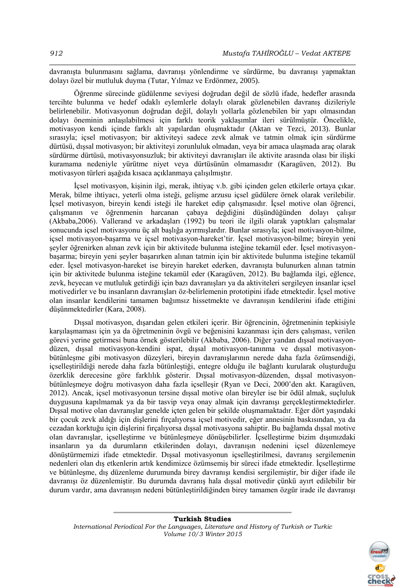davranışta bulunmasını sağlama, davranışı yönlendirme ve sürdürme, bu davranışı yapmaktan dolayı özel bir mutluluk duyma (Tutar, Yılmaz ve Erdönmez, 2005).

Öğrenme sürecinde güdülenme seviyesi doğrudan değil de sözlü ifade, hedefler arasında tercihte bulunma ve hedef odaklı eylemlerle dolaylı olarak gözlenebilen davranış dizileriyle belirlenebilir. Motivasyonun doğrudan değil, dolaylı yollarla gözlenebilen bir yapı olmasından dolayı öneminin anlaşılabilmesi için farklı teorik yaklaşımlar ileri sürülmüştür. Öncelikle, motivasyon kendi içinde farklı alt yapılardan oluşmaktadır (Aktan ve Tezci, 2013). Bunlar sırasıyla; içsel motivasyon; bir aktiviteyi sadece zevk almak ve tatmin olmak için sürdürme dürtüsü, dışsal motivasyon; bir aktiviteyi zorunluluk olmadan, veya bir amaca ulaşmada araç olarak sürdürme dürtüsü, motivasyonsuzluk; bir aktiviteyi davranışları ile aktivite arasında olası bir ilişki kuramama nedeniyle yürütme niyet veya dürtüsünün olmamasıdır (Karagüven, 2012). Bu motivasyon türleri aşağıda kısaca açıklanmaya çalışılmıştır.

İçsel motivasyon, kişinin ilgi, merak, ihtiyaç v.b. gibi içinden gelen etkilerle ortaya çıkar. Merak, bilme ihtiyacı, yeterli olma isteği, gelişme arzusu içsel güdülere örnek olarak verilebilir. İçsel motivasyon, bireyin kendi isteği ile hareket edip çalışmasıdır. İçsel motive olan öğrenci, çalışmanın ve öğrenmenin harcanan çabaya değdiğini düşündüğünden dolayı çalışır (Akbaba,2006). Vallerand ve arkadaşları (1992) bu teori ile ilgili olarak yaptıkları çalışmalar sonucunda içsel motivasyonu üç alt başlığa ayırmışlardır. Bunlar sırasıyla; içsel motivasyon-bilme, içsel motivasyon-başarma ve içsel motivasyon-hareket'tir. İçsel motivasyon-bilme; bireyin yeni şeyler öğrenirken alınan zevk için bir aktivitede bulunma isteğine tekamül eder. İçsel motivasyonbaşarma; bireyin yeni şeyler başarırken alınan tatmin için bir aktivitede bulunma isteğine tekamül eder. İçsel motivasyon-hareket ise bireyin hareket ederken, davranışta bulunurken alınan tatmin için bir aktivitede bulunma isteğine tekamül eder (Karagüven, 2012). Bu bağlamda ilgi, eğlence, zevk, heyecan ve mutluluk getirdiği için bazı davranışları ya da aktiviteleri sergileyen insanlar içsel motivedirler ve bu insanların davranışları öz-belirlemenin prototipini ifade etmektedir. İçsel motive olan insanlar kendilerini tamamen bağımsız hissetmekte ve davranışın kendilerini ifade ettiğini düşünmektedirler (Kara, 2008).

Dışsal motivasyon, dışarıdan gelen etkileri içerir. Bir öğrencinin, öğretmeninin tepkisiyle karşılaşmaması için ya da öğretmeninin övgü ve beğenisini kazanması için ders çalışması, verilen görevi yerine getirmesi buna örnek gösterilebilir (Akbaba, 2006). Diğer yandan dışsal motivasyondüzen, dışsal motivasyon-kendini ispat, dışsal motivasyon-tanınma ve dışsal motivasyonbütünleşme gibi motivasyon düzeyleri, bireyin davranışlarının nerede daha fazla özümsendiği, içselleştirildiği nerede daha fazla bütünleştiği, entegre olduğu ile bağlantı kurularak oluşturduğu özerklik derecesine göre farklılık gösterir. Dışsal motivasyon-düzenden, dışsal motivasyonbütünleşmeye doğru motivasyon daha fazla içselleşir (Ryan ve Deci, 2000'den akt. Karagüven, 2012). Ancak, içsel motivasyonun tersine dışsal motive olan bireyler ise bir ödül almak, suçluluk duygusuna kapılmamak ya da bir tasvip veya onay almak için davranışı gerçekleştirmektedirler. Dışsal motive olan davranışlar genelde içten gelen bir şekilde oluşmamaktadır. Eğer dört yaşındaki bir çocuk zevk aldığı için dişlerini fırçalıyorsa içsel motivedir, eğer annesinin baskısından, ya da cezadan korktuğu için dişlerini fırçalıyorsa dışsal motivasyona sahiptir. Bu bağlamda dışsal motive olan davranışlar, içselleştirme ve bütünleşmeye dönüşebilirler. İçselleştirme bizim dışımızdaki insanların ya da durumların etkilerinden dolayı, davranışın nedenini içsel düzenlemeye dönüştürmemizi ifade etmektedir. Dışsal motivasyonun içselleştirilmesi, davranış sergilemenin nedenleri olan dış etkenlerin artık kendimizce özümsemiş bir süreci ifade etmektedir. İçselleştirme ve bütünleşme, dış düzenleme durumunda birey davranışı kendisi sergilemiştir, bir diğer ifade ile davranışı öz düzenlemiştir. Bu durumda davranış hala dışsal motivedir çünkü ayırt edilebilir bir durum vardır, ama davranışın nedeni bütünleştirildiğinden birey tamamen özgür irade ile davranışı

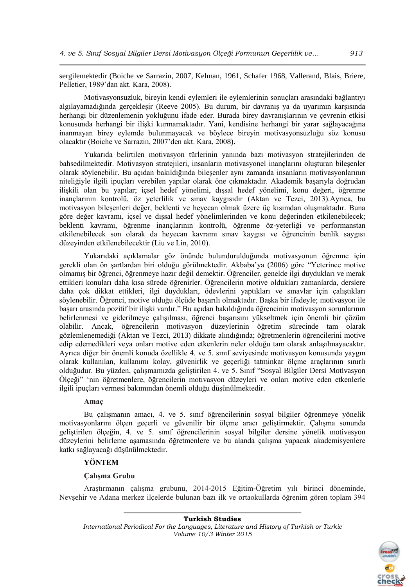sergilemektedir (Boiche ve Sarrazin, 2007, Kelman, 1961, Schafer 1968, Vallerand, Blais, Briere, Pelletier, 1989'dan akt. Kara, 2008).

Motivasyonsuzluk, bireyin kendi eylemleri ile eylemlerinin sonuçları arasındaki bağlantıyı algılayamadığında gerçekleşir (Reeve 2005). Bu durum, bir davranış ya da uyarımın karşısında herhangi bir düzenlemenin yokluğunu ifade eder. Burada birey davranışlarının ve çevrenin etkisi konusunda herhangi bir ilişki kurmamaktadır. Yani, kendisine herhangi bir yarar sağlayacağına inanmayan birey eylemde bulunmayacak ve böylece bireyin motivasyonsuzluğu söz konusu olacaktır (Boiche ve Sarrazin, 2007'den akt. Kara, 2008).

Yukarıda belirtilen motivasyon türlerinin yanında bazı motivasyon stratejilerinden de bahsedilmektedir. Motivasyon stratejileri, insanların motivasyonel inançlarını oluşturan bileşenler olarak söylenebilir. Bu açıdan bakıldığında bileşenler aynı zamanda insanların motivasyonlarının niteliğiyle ilgili ipuçları verebilen yapılar olarak öne çıkmaktadır. Akademik başarıyla doğrudan ilişkili olan bu yapılar; içsel hedef yönelimi, dışsal hedef yönelimi, konu değeri, öğrenme inançlarının kontrolü, öz yeterlilik ve sınav kaygısıdır (Aktan ve Tezci, 2013).Ayrıca, bu motivasyon bileşenleri değer, beklenti ve heyecan olmak üzere üç kısımdan oluşmaktadır. Buna göre değer kavramı, içsel ve dışsal hedef yönelimlerinden ve konu değerinden etkilenebilecek; beklenti kavramı, öğrenme inançlarının kontrolü, öğrenme öz-yeterliği ve performanstan etkilenebilecek son olarak da heyecan kavramı sınav kaygısı ve öğrencinin benlik saygısı düzeyinden etkilenebilecektir (Liu ve Lin, 2010).

Yukarıdaki açıklamalar göz önünde bulundurulduğunda motivasyonun öğrenme için gerekli olan ön şartlardan biri olduğu görülmektedir. Akbaba'ya (2006) göre "Yeterince motive olmamış bir öğrenci, öğrenmeye hazır değil demektir. Öğrenciler, genelde ilgi duydukları ve merak ettikleri konuları daha kısa sürede öğrenirler. Öğrencilerin motive oldukları zamanlarda, derslere daha çok dikkat ettikleri, ilgi duydukları, ödevlerini yaptıkları ve sınavlar için çalıştıkları söylenebilir. Öğrenci, motive olduğu ölçüde başarılı olmaktadır. Başka bir ifadeyle; motivasyon ile başarı arasında pozitif bir ilişki vardır." Bu açıdan bakıldığında öğrencinin motivasyon sorunlarının belirlenmesi ve giderilmeye çalışılması, öğrenci başarısını yükseltmek için önemli bir çözüm olabilir. Ancak, öğrencilerin motivasyon düzeylerinin öğretim sürecinde tam olarak gözlemlenemediği (Aktan ve Tezci, 2013) dikkate alındığında; öğretmenlerin öğrencilerini motive edip edemedikleri veya onları motive eden etkenlerin neler olduğu tam olarak anlaşılmayacaktır. Ayrıca diğer bir önemli konuda özellikle 4. ve 5. sınıf seviyesinde motivasyon konusunda yaygın olarak kullanılan, kullanımı kolay, güvenirlik ve geçerliği tatminkar ölçme araçlarının sınırlı olduğudur. Bu yüzden, çalışmamızda geliştirilen 4. ve 5. Sınıf "Sosyal Bilgiler Dersi Motivasyon Ölçeği" 'nin öğretmenlere, öğrencilerin motivasyon düzeyleri ve onları motive eden etkenlerle ilgili ipuçları vermesi bakımından önemli olduğu düşünülmektedir.

# **Amaç**

Bu çalışmanın amacı, 4. ve 5. sınıf öğrencilerinin sosyal bilgiler öğrenmeye yönelik motivasyonlarını ölçen geçerli ve güvenilir bir ölçme aracı geliştirmektir. Çalışma sonunda geliştirilen ölçeğin, 4. ve 5. sınıf öğrencilerinin sosyal bilgiler dersine yönelik motivasyon düzeylerini belirleme aşamasında öğretmenlere ve bu alanda çalışma yapacak akademisyenlere katkı sağlayacağı düşünülmektedir.

# **YÖNTEM**

## **Çalışma Grubu**

Araştırmanın çalışma grubunu, 2014-2015 Eğitim-Öğretim yılı birinci döneminde, Nevşehir ve Adana merkez ilçelerde bulunan bazı ilk ve ortaokullarda öğrenim gören toplam 394

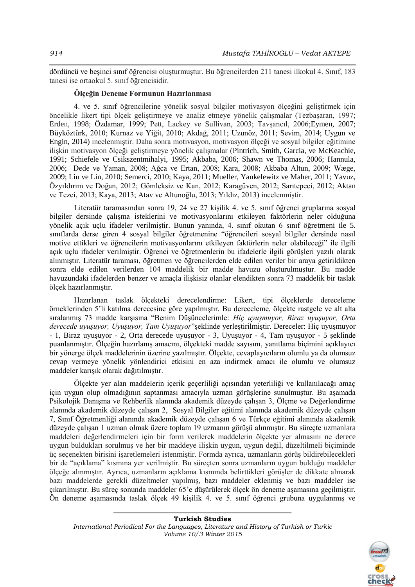dördüncü ve beşinci sınıf öğrencisi oluşturmuştur. Bu öğrencilerden 211 tanesi ilkokul 4. Sınıf, 183 tanesi ise ortaokul 5. sınıf öğrencisidir.

## **Ölçeğin Deneme Formunun Hazırlanması**

4. ve 5. sınıf öğrencilerine yönelik sosyal bilgiler motivasyon ölçeğini geliştirmek için öncelikle likert tipi ölçek geliştirmeye ve analiz etmeye yönelik çalışmalar (Tezbaşaran, 1997; Erden, 1998; Özdamar, 1999; Pett, Lackey ve Sullivan, 2003; Tavşancıl, 2006;Eymen, 2007; Büyköztürk, 2010; Kurnaz ve Yiğit, 2010; Akdağ, 2011; Uzunöz, 2011; Sevim, 2014; Uygun ve Engin, 2014) incelenmiştir. Daha sonra motivasyon, motivasyon ölçeği ve sosyal bilgiler eğitimine ilişkin motivasyon ölçeği geliştirmeye yönelik çalışmalar (Pintrich, Smith, Garcia, ve McKeachie, 1991; Schiefele ve Csikszentmihalyi, 1995; Akbaba, 2006; Shawn ve Thomas, 2006; Hannula, 2006; Dede ve Yaman, 2008; Ağca ve Ertan, 2008; Kara, 2008; Akbaba Altun, 2009; Wæge, 2009; Liu ve Lin, 2010; Semerci, 2010; Kaya, 2011; Mueller, Yankelewitz ve Maher, 2011; Yavuz, Özyıldırım ve Doğan, 2012; Gömleksiz ve Kan, 2012; Karagüven, 2012; Sarıtepeci, 2012; Aktan ve Tezci, 2013; Kaya, 2013; Atav ve Altunoğlu, 2013; Yıldız, 2013) incelenmiştir.

Literatür taramasından sonra 19, 24 ve 27 kişilik 4. ve 5. sınıf öğrenci gruplarına sosyal bilgiler dersinde çalışma isteklerini ve motivasyonlarını etkileyen faktörlerin neler olduğuna yönelik açık uçlu ifadeler verilmiştir. Bunun yanında, 4. sınıf okutan 6 sınıf öğretmeni ile 5. sınıflarda derse giren 4 sosyal bilgiler öğretmenine "öğrencileri sosyal bilgiler dersinde nasıl motive ettikleri ve öğrencilerin motivasyonlarını etkileyen faktörlerin neler olabileceği" ile ilgili açık uçlu ifadeler verilmiştir. Öğrenci ve öğretmenlerin bu ifadelerle ilgili görüşleri yazılı olarak alınmıştır. Literatür taraması, öğretmen ve öğrencilerden elde edilen veriler bir araya getirildikten sonra elde edilen verilerden 104 maddelik bir madde havuzu oluşturulmuştur. Bu madde havuzundaki ifadelerden benzer ve amaçla ilişkisiz olanlar elendikten sonra 73 maddelik bir taslak ölçek hazırlanmıştır.

Hazırlanan taslak ölçekteki derecelendirme: Likert, tipi ölçeklerde dereceleme örneklerinden 5'li katılma derecesine göre yapılmıştır. Bu dereceleme, ölçekte rastgele ve alt alta sıralanmış 73 madde karşısına "Benim Düşüncelerimle: *Hiç uyuşmuyor, Biraz uyuşuyor, Orta derecede uyuşuyor, Uyuşuyor, Tam Uyuşuyor*"şeklinde yerleştirilmiştir. Dereceler: Hiç uyuşmuyor - 1, Biraz uyuşuyor - 2, Orta derecede uyuşuyor - 3, Uyuşuyor - 4, Tam uyuşuyor - 5 şeklinde puanlanmıştır. Ölçeğin hazırlanış amacını, ölçekteki madde sayısını, yanıtlama biçimini açıklayıcı bir yönerge ölçek maddelerinin üzerine yazılmıştır. Ölçekte, cevaplayıcıların olumlu ya da olumsuz cevap vermeye yönelik yönlendirici etkisini en aza indirmek amacı ile olumlu ve olumsuz maddeler karışık olarak dağıtılmıştır.

Ölçekte yer alan maddelerin içerik geçerliliği açısından yeterliliği ve kullanılacağı amaç için uygun olup olmadığının saptanması amacıyla uzman görüşlerine sunulmuştur. Bu aşamada Psikolojik Danışma ve Rehberlik alanında akademik düzeyde çalışan 3, Ölçme ve Değerlendirme alanında akademik düzeyde çalışan 2, Sosyal Bilgiler eğitimi alanında akademik düzeyde çalışan 7, Sınıf Öğretmenliği alanında akademik düzeyde çalışan 6 ve Türkçe eğitimi alanında akademik düzeyde çalışan 1 uzman olmak üzere toplam 19 uzmanın görüşü alınmıştır. Bu süreçte uzmanlara maddeleri değerlendirmeleri için bir form verilerek maddelerin ölçekte yer almasını ne derece uygun buldukları sorulmuş ve her bir maddeye ilişkin uygun, uygun değil, düzeltilmeli biçiminde üç seçenekten birisini işaretlemeleri istenmiştir. Formda ayrıca, uzmanların görüş bildirebilecekleri bir de "açıklama" kısmına yer verilmiştir. Bu süreçten sonra uzmanların uygun bulduğu maddeler ölçeğe alınmıştır. Ayrıca, uzmanların açıklama kısmında belirttikleri görüşler de dikkate alınarak bazı maddelerde gerekli düzeltmeler yapılmış, bazı maddeler eklenmiş ve bazı maddeler ise çıkarılmıştır. Bu süreç sonunda maddeler 65'e düşürülerek ölçek ön deneme aşamasına geçilmiştir. Ön deneme aşamasında taslak ölçek 49 kişilik 4. ve 5. sınıf öğrenci grubuna uygulanmış ve

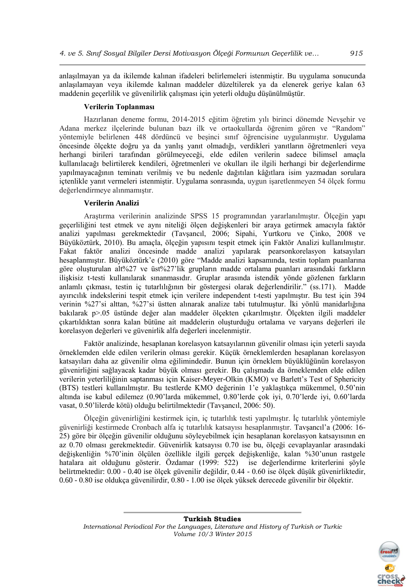anlaşılmayan ya da ikilemde kalınan ifadeleri belirlemeleri istenmiştir. Bu uygulama sonucunda anlaşılamayan veya ikilemde kalınan maddeler düzeltilerek ya da elenerek geriye kalan 63 maddenin geçerlilik ve güvenilirlik çalışması için yeterli olduğu düşünülmüştür.

## **Verilerin Toplanması**

Hazırlanan deneme formu, 2014-2015 eğitim öğretim yılı birinci dönemde Nevşehir ve Adana merkez ilçelerinde bulunan bazı ilk ve ortaokullarda öğrenim gören ve "Random" yöntemiyle belirlenen 448 dördüncü ve beşinci sınıf öğrencisine uygulanmıştır. Uygulama öncesinde ölçekte doğru ya da yanlış yanıt olmadığı, verdikleri yanıtların öğretmenleri veya herhangi birileri tarafından görülmeyeceği, elde edilen verilerin sadece bilimsel amaçla kullanılacağı belirtilerek kendileri, öğretmenleri ve okulları ile ilgili herhangi bir değerlendirme yapılmayacağının teminatı verilmiş ve bu nedenle dağıtılan kâğıtlara isim yazmadan sorulara içtenlikle yanıt vermeleri istenmiştir. Uygulama sonrasında, uygun işaretlenmeyen 54 ölçek formu değerlendirmeye alınmamıştır.

# **Verilerin Analizi**

Araştırma verilerinin analizinde SPSS 15 programından yararlanılmıştır. Ölçeğin yapı geçerliliğini test etmek ve aynı niteliği ölçen değişkenleri bir araya getirmek amacıyla faktör analizi yapılması gerekmektedir (Tavşancıl, 2006; Sipahi, Yurtkoru ve Çinko, 2008 ve Büyüköztürk, 2010). Bu amaçla, ölçeğin yapısını tespit etmek için Faktör Analizi kullanılmıştır. Fakat faktör analizi öncesinde madde analizi yapılarak pearsonkorelasyon katsayıları hesaplanmıştır. Büyüköztürk'e (2010) göre "Madde analizi kapsamında, testin toplam puanlarına göre oluşturulan alt%27 ve üst%27'lik grupların madde ortalama puanları arasındaki farkların ilişkisiz t-testi kullanılarak sınanmasıdır. Gruplar arasında istendik yönde gözlenen farkların anlamlı çıkması, testin iç tutarlılığının bir göstergesi olarak değerlendirilir." (ss.171). Madde ayırıcılık indekslerini tespit etmek için verilere independent t-testi yapılmıştır. Bu test için 394 verinin %27'si alttan, %27'si üstten alınarak analize tabi tutulmuştur. İki yönlü manidarlığına bakılarak p>.05 üstünde değer alan maddeler ölçekten çıkarılmıştır. Ölçekten ilgili maddeler çıkartıldıktan sonra kalan bütüne ait maddelerin oluşturduğu ortalama ve varyans değerleri ile korelasyon değerleri ve güvenirlik alfa değerleri incelenmiştir.

Faktör analizinde, hesaplanan korelasyon katsayılarının güvenilir olması için yeterli sayıda örneklemden elde edilen verilerin olması gerekir. Küçük örneklemlerden hesaplanan korelasyon katsayıları daha az güvenilir olma eğilimindedir. Bunun için örneklem büyüklüğünün korelasyon güvenirliğini sağlayacak kadar büyük olması gerekir. Bu çalışmada da örneklemden elde edilen verilerin yeterliliğinin saptanması için Kaiser-Meyer-Olkin (KMO) ve Barlett's Test of Sphericity (BTS) testleri kullanılmıştır. Bu testlerde KMO değerinin 1'e yaklaştıkça mükemmel, 0.50'nin altında ise kabul edilemez (0.90'larda mükemmel, 0.80'lerde çok iyi, 0.70'lerde iyi, 0.60'larda vasat, 0.50'lilerde kötü) olduğu belirtilmektedir (Tavşancıl, 2006: 50).

Ölçeğin güvenirliğini kestirmek için, iç tutarlılık testi yapılmıştır. İç tutarlılık yöntemiyle güvenirliği kestirmede Cronbach alfa iç tutarlılık katsayısı hesaplanmıştır. Tavşancıl'a (2006: 16- 25) göre bir ölçeğin güvenilir olduğunu söyleyebilmek için hesaplanan korelasyon katsayısının en az 0.70 olması gerekmektedir. Güvenirlik katsayısı 0.70 ise bu, ölçeği cevaplayanlar arasındaki değişkenliğin %70'inin ölçülen özellikle ilgili gerçek değişkenliğe, kalan %30'unun rastgele hatalara ait olduğunu gösterir. Özdamar (1999: 522) ise değerlendirme kriterlerini şöyle belirtmektedir: 0.00 - 0.40 ise ölçek güvenilir değildir, 0.44 - 0.60 ise ölçek düşük güvenirliktedir, 0.60 - 0.80 ise oldukça güvenilirdir, 0.80 - 1.00 ise ölçek yüksek derecede güvenilir bir ölçektir.

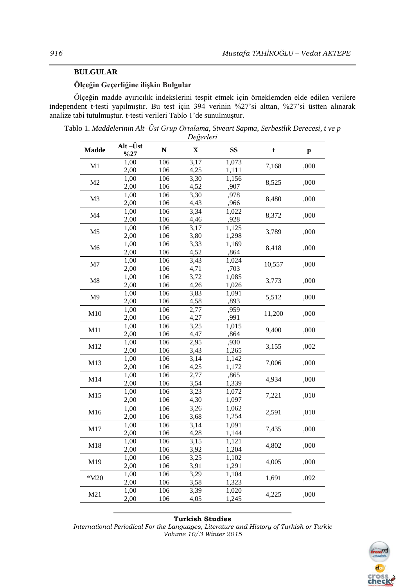# **BULGULAR**

# **Ölçeğin Geçerliğine ilişkin Bulgular**

Ölçeğin madde ayırıcılık indekslerini tespit etmek için örneklemden elde edilen verilere independent t-testi yapılmıştır. Bu test için 394 verinin %27'si alttan, %27'si üstten alınarak analize tabi tutulmuştur. t-testi verileri Tablo 1'de sunulmuştur.

Tablo 1. *Maddelerinin Alt–Üst Grup Ortalama, Stveart Sapma, Serbestlik Derecesi, t ve p Değerleri*

| <b>Madde</b>   | Alt-Üst      | ${\bf N}$  | $\sim$ $\sim$ $\sim$ $\sim$<br>X | <b>SS</b>      | t      | $\mathbf{p}$ |
|----------------|--------------|------------|----------------------------------|----------------|--------|--------------|
|                | $\%27$       |            |                                  |                |        |              |
| M1             | 1,00<br>2,00 | 106<br>106 | 3,17<br>4,25                     | 1,073<br>1,111 | 7,168  | ,000         |
|                | 1,00         | 106        | 3,30                             | 1,156          |        |              |
| M <sub>2</sub> | 2,00         | 106        | 4,52                             | ,907           | 8,525  | ,000         |
|                | 1,00         | 106        | 3,30                             | ,978           |        |              |
| M <sub>3</sub> | 2,00         | 106        | 4,43                             | ,966           | 8,480  | ,000         |
|                | 1,00         | 106        | 3,34                             | 1,022          |        |              |
| M <sub>4</sub> | 2,00         | 106        | 4,46                             | ,928           | 8,372  | ,000         |
|                | 1,00         | 106        | 3,17                             | 1,125          |        |              |
| M <sub>5</sub> | 2,00         | 106        | 3,80                             | 1,298          | 3,789  | ,000         |
|                | 1,00         | 106        | 3,33                             | 1,169          |        |              |
| M <sub>6</sub> | 2,00         | 106        | 4,52                             | ,864           | 8,418  | ,000         |
|                | 1,00         | 106        | 3,43                             | 1,024          |        |              |
| M7             | 2,00         | 106        | 4,71                             | ,703           | 10,557 | ,000         |
|                | 1,00         | 106        | 3,72                             | 1,085          |        |              |
| M8             | 2,00         | 106        | 4,26                             | 1,026          | 3,773  | ,000         |
| M <sub>9</sub> | 1,00         | 106        | 3,83                             | 1,091          | 5,512  | ,000         |
|                | 2,00         | 106        | 4,58                             | ,893           |        |              |
| M10            | 1,00         | 106        | 2,77                             | ,959           | 11,200 | ,000         |
|                | 2,00         | 106        | 4,27                             | ,991           |        |              |
| M11            | 1,00         | 106        | 3,25                             | 1,015          | 9,400  | ,000         |
|                | 2,00         | 106        | 4,47                             | ,864           |        |              |
| M12            | 1,00         | 106        | 2,95                             | ,930           | 3,155  | ,002         |
|                | 2,00         | 106        | 3,43                             | 1,265          |        |              |
| M13            | 1,00         | 106        | 3,14                             | 1,142          | 7,006  | ,000         |
|                | 2,00         | 106        | 4,25                             | 1,172          |        |              |
| M14            | 1,00         | 106        | 2,77                             | ,865           | 4,934  | ,000         |
|                | 2,00         | 106        | 3,54                             | 1,339          |        |              |
| M15            | 1,00         | 106        | 3,23                             | 1,072          | 7,221  | ,010         |
|                | 2,00         | 106        | 4,30                             | 1,097          |        |              |
| M16            | 1,00         | 106        | 3,26                             | 1,062          | 2,591  | ,010         |
|                | 2,00         | 106        | 3,68                             | 1,254          |        |              |
| M17            | 1,00         | 106        | 3,14                             | 1,091          | 7,435  | ,000         |
|                | 2,00         | 106        | 4,28                             | 1,144          |        |              |
| M18            | 1,00         | 106        | 3,15                             | 1,121          | 4,802  | ,000         |
|                | 2,00         | 106        | 3,92                             | 1,204          |        |              |
| M19            | 1,00         | 106        | 3,25                             | 1,102          | 4,005  | ,000         |
|                | 2,00         | 106        | 3,91                             | 1,291          |        |              |
| $*M20$         | 1,00         | 106        | 3,29                             | 1,104          | 1,691  | ,092         |
|                | 2,00         | 106        | 3,58                             | 1,323          |        |              |
| M21            | 1,00         | 106        | 3,39                             | 1,020          | 4,225  | ,000         |
|                | 2,00         | 106        | 4,05                             | 1,245          |        |              |

### **Turkish Studies**

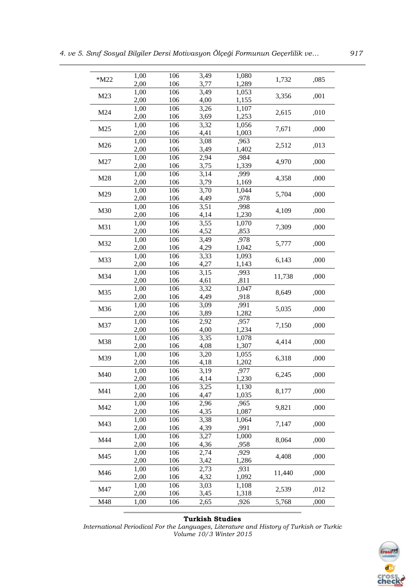| $*M22$          | 1,00<br>2,00 | 106<br>106 | 3,49         | 1,080<br>1,289             | 1,732  | ,085 |
|-----------------|--------------|------------|--------------|----------------------------|--------|------|
|                 |              | 106        | 3,77<br>3,49 |                            |        |      |
| M23             | 1,00<br>2,00 | 106        | 4,00         | 1,053                      | 3,356  | ,001 |
|                 |              |            |              | 1,155                      |        |      |
| M24             | 1,00         | 106        | 3,26         | 1,107<br>1,253             | 2,615  | ,010 |
|                 | 2,00         | 106        | 3,69         |                            |        |      |
| M <sub>25</sub> | 1,00         | 106        | 3,32         | 1,056                      | 7,671  | ,000 |
|                 | 2,00         | 106        | 4,41         | 1,003                      |        |      |
| M26             | 1,00         | 106        | 3,08         | ,963                       | 2,512  | ,013 |
|                 | 2,00         | 106        | 3,49         | 1,402                      |        |      |
| M27             | 1,00         | 106        | 2,94         | ,984                       | 4,970  | ,000 |
|                 | 2,00         | 106        | 3,75         | 1,339                      |        |      |
| M28             | 1,00         | 106        | 3,14         | ,999                       | 4,358  | ,000 |
|                 | 2,00         | 106        | 3,79         | 1,169                      |        |      |
| M29             | 1,00         | 106        | 3,70         | 1,044                      | 5,704  | ,000 |
|                 | 2,00         | 106        | 4,49         | ,978                       |        |      |
| M30             | 1,00         | 106        | 3,51         | ,998                       | 4,109  | ,000 |
|                 | 2,00         | 106        | 4,14         | 1,230                      |        |      |
| M31             | 1,00         | 106        | 3,55         | 1,070                      | 7,309  | ,000 |
|                 | 2,00         | 106        | 4,52         | ,853                       |        |      |
| M32             | 1,00         | 106        | 3,49         | ,978                       | 5,777  | ,000 |
|                 | 2,00         | 106        | 4,29         | 1,042                      |        |      |
| M33             | 1,00         | 106        | 3,33         | 1,093                      | 6,143  | ,000 |
|                 | 2,00         | 106        | 4,27         | 1,143                      |        |      |
| M34             | 1,00         | 106        | 3,15         | ,993                       | 11,738 | ,000 |
|                 | 2,00         | 106        | 4,61         | ,811                       |        |      |
| M35             | 1,00         | 106        | 3,32         | 1,047                      | 8,649  | ,000 |
|                 | 2,00         | 106<br>106 | 4,49         | ,918<br>$, 99\overline{1}$ |        |      |
| M36             | 1,00<br>2,00 | 106        | 3,09<br>3,89 | 1,282                      | 5,035  | ,000 |
|                 |              | 106        |              | ,957                       |        |      |
| M37             | 1,00<br>2,00 | 106        | 2,92<br>4,00 | 1,234                      | 7,150  | ,000 |
|                 | 1,00         | 106        | 3,35         |                            |        |      |
| M38             | 2,00         | 106        | 4,08         | 1,078<br>1,307             | 4,414  | ,000 |
|                 |              |            | 3,20         |                            |        |      |
| M39             | 1,00<br>2,00 | 106<br>106 | 4,18         | 1,055<br>1,202             | 6,318  | ,000 |
|                 | 1,00         | 106        | 3,19         | ,977                       |        |      |
| M40             | 2,00         |            |              | 1,230                      | 6,245  | ,000 |
|                 | 1,00         | 106<br>106 | 4,14<br>3,25 | 1,130                      |        |      |
| M41             | 2,00         | 106        | 4,47         | 1,035                      | 8,177  | ,000 |
|                 | 1,00         | 106        | 2,96         | ,965                       |        |      |
| M42             | 2,00         | 106        | 4,35         | 1,087                      | 9,821  | ,000 |
|                 | 1,00         | 106        | 3,38         | 1,064                      |        |      |
| M43             | 2,00         | 106        | 4,39         | ,991                       | 7,147  | ,000 |
|                 | 1,00         | 106        | 3,27         | 1,000                      |        |      |
| M44             | 2,00         | 106        | 4,36         | ,958                       | 8,064  | ,000 |
|                 | 1,00         | 106        | 2,74         | ,929                       |        |      |
| M45             | 2,00         | 106        | 3,42         | 1,286                      | 4,408  | ,000 |
|                 | 1,00         | 106        | 2,73         | ,931                       |        |      |
| M46             | 2,00         | 106        | 4,32         | 1,092                      | 11,440 | ,000 |
|                 | 1,00         | 106        | 3,03         | 1,108                      |        |      |
| M47             | 2,00         | 106        | 3,45         | 1,318                      | 2,539  | ,012 |
| M48             | 1,00         | 106        | 2,65         | ,926                       | 5,768  | ,000 |
|                 |              |            |              |                            |        |      |

### **Turkish Studies**

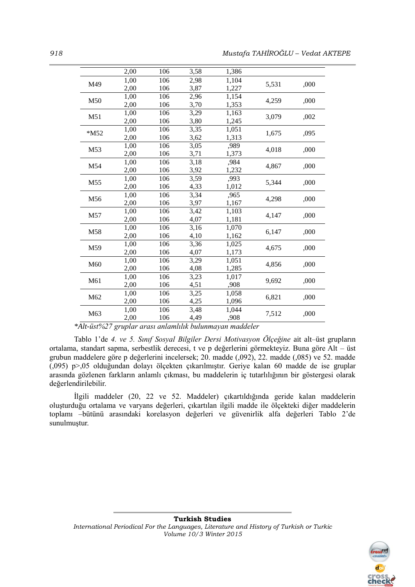|                 | 2,00 | 106 | 3,58 | 1,386 |       |      |
|-----------------|------|-----|------|-------|-------|------|
| M49             | 1,00 | 106 | 2,98 | 1,104 | 5,531 | ,000 |
|                 | 2,00 | 106 | 3,87 | 1,227 |       |      |
| M50             | 1,00 | 106 | 2,96 | 1,154 | 4,259 | ,000 |
|                 | 2,00 | 106 | 3,70 | 1,353 |       |      |
| M51             | 1,00 | 106 | 3,29 | 1,163 | 3,079 | ,002 |
|                 | 2,00 | 106 | 3,80 | 1,245 |       |      |
| $*M52$          | 1,00 | 106 | 3,35 | 1,051 | 1,675 | ,095 |
|                 | 2,00 | 106 | 3,62 | 1,313 |       |      |
| M53             | 1,00 | 106 | 3,05 | ,989  | 4,018 | ,000 |
|                 | 2,00 | 106 | 3,71 | 1,373 |       |      |
| M54             | 1,00 | 106 | 3,18 | ,984  | 4,867 |      |
|                 | 2,00 | 106 | 3,92 | 1,232 |       | ,000 |
| M <sub>55</sub> | 1,00 | 106 | 3,59 | ,993  | 5,344 | ,000 |
|                 | 2,00 | 106 | 4,33 | 1,012 |       |      |
| M56             | 1,00 | 106 | 3,34 | .965  | 4,298 | ,000 |
|                 | 2,00 | 106 | 3,97 | 1,167 |       |      |
| M57             | 1,00 | 106 | 3,42 | 1,103 | 4,147 | ,000 |
|                 | 2,00 | 106 | 4,07 | 1,181 |       |      |
| M58             | 1,00 | 106 | 3,16 | 1,070 | 6,147 | ,000 |
|                 | 2,00 | 106 | 4,10 | 1,162 |       |      |
| M59             | 1,00 | 106 | 3,36 | 1,025 | 4,675 | ,000 |
|                 | 2,00 | 106 | 4,07 | 1,173 |       |      |
| M60             | 1,00 | 106 | 3,29 | 1,051 | 4,856 | ,000 |
|                 | 2,00 | 106 | 4,08 | 1,285 |       |      |
| M61             | 1,00 | 106 | 3,23 | 1,017 | 9,692 | ,000 |
|                 | 2,00 | 106 | 4,51 | ,908  |       |      |
| M62             | 1,00 | 106 | 3,25 | 1,058 | 6,821 | ,000 |
|                 | 2,00 | 106 | 4,25 | 1,096 |       |      |
| M63             | 1,00 | 106 | 3,48 | 1,044 | 7,512 | ,000 |
|                 | 2,00 | 106 | 4,49 | ,908  |       |      |
|                 |      |     |      |       |       |      |

*\*Alt-üst%27 gruplar arası anlamlılık bulunmayan maddeler*

Tablo 1'de *4. ve 5. Sınıf Sosyal Bilgiler Dersi Motivasyon Ölçeğine* ait alt–üst grupların ortalama, standart sapma, serbestlik derecesi, t ve p değerlerini görmekteyiz. Buna göre Alt – üst grubun maddelere göre p değerlerini incelersek; 20. madde (,092), 22. madde (,085) ve 52. madde (,095) p>,05 olduğundan dolayı ölçekten çıkarılmıştır. Geriye kalan 60 madde de ise gruplar arasında gözlenen farkların anlamlı çıkması, bu maddelerin iç tutarlılığının bir göstergesi olarak değerlendirilebilir.

İlgili maddeler (20, 22 ve 52. Maddeler) çıkartıldığında geride kalan maddelerin oluşturduğu ortalama ve varyans değerleri, çıkartılan ilgili madde ile ölçekteki diğer maddelerin toplamı –bütünü arasındaki korelasyon değerleri ve güvenirlik alfa değerleri Tablo 2'de sunulmuştur.

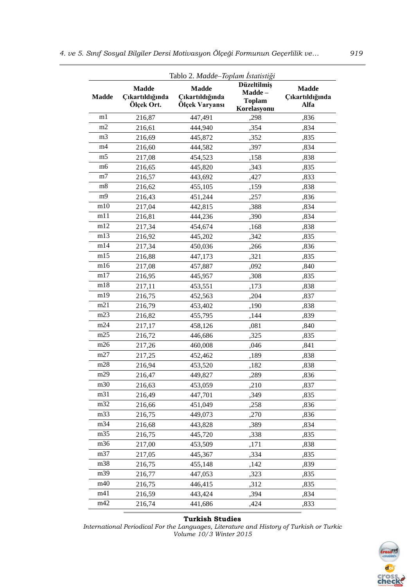| Tablo 2. Madde-Toplam İstatistiği |                                               |                                                   |                                                       |                                         |
|-----------------------------------|-----------------------------------------------|---------------------------------------------------|-------------------------------------------------------|-----------------------------------------|
| <b>Madde</b>                      | <b>Madde</b><br>Çıkartıldığında<br>Ölçek Ort. | <b>Madde</b><br>Çıkartıldığında<br>Ölçek Varyansı | Düzeltilmiş<br>Madde-<br><b>Toplam</b><br>Korelasyonu | <b>Madde</b><br>Çıkartıldığında<br>Alfa |
| m1                                | 216,87                                        | 447,491                                           | ,298                                                  | ,836                                    |
| m2                                | 216,61                                        | 444,940                                           | ,354                                                  | ,834                                    |
| m <sub>3</sub>                    | 216,69                                        | 445,872                                           | ,352                                                  | ,835                                    |
| m4                                | 216,60                                        | 444,582                                           | ,397                                                  | ,834                                    |
| m <sub>5</sub>                    | 217,08                                        | 454,523                                           | ,158                                                  | ,838                                    |
| m6                                | 216,65                                        | 445,820                                           | ,343                                                  | ,835                                    |
| m <sub>7</sub>                    | 216,57                                        | 443,692                                           | ,427                                                  | ,833                                    |
| m8                                | 216,62                                        | 455,105                                           | ,159                                                  | ,838                                    |
| m <sub>9</sub>                    | 216,43                                        | 451,244                                           | ,257                                                  | ,836                                    |
| m10                               | 217,04                                        | 442,815                                           | ,388                                                  | ,834                                    |
| m11                               | 216,81                                        | 444,236                                           | ,390                                                  | ,834                                    |
| m12                               | 217,34                                        | 454,674                                           | ,168                                                  | ,838                                    |
| m13                               | 216,92                                        | 445,202                                           | ,342                                                  | ,835                                    |
| m14                               | 217,34                                        | 450,036                                           | ,266                                                  | ,836                                    |
| m15                               | 216,88                                        | 447,173                                           | ,321                                                  | ,835                                    |
| m16                               | 217,08                                        | 457,887                                           | ,092                                                  | ,840                                    |
| m17                               | 216,95                                        | 445,957                                           | ,308                                                  | ,835                                    |
| m18                               | 217,11                                        | 453,551                                           | ,173                                                  | ,838                                    |
| m19                               | 216,75                                        | 452,563                                           | ,204                                                  | ,837                                    |
| m21                               | 216,79                                        | 453,402                                           | ,190                                                  | ,838                                    |
| m23                               | 216,82                                        | 455,795                                           | ,144                                                  | ,839                                    |
| m24                               | 217,17                                        | 458,126                                           | ,081                                                  | ,840                                    |
| m25                               | 216,72                                        | 446,686                                           | ,325                                                  | ,835                                    |
| m26                               | 217,26                                        | 460,008                                           | ,046                                                  | ,841                                    |
| m27                               | 217,25                                        | 452,462                                           | ,189                                                  | ,838                                    |
| m28                               | 216,94                                        | 453,520                                           | ,182                                                  | ,838                                    |
| m29                               | 216,47                                        | 449,827                                           | ,289                                                  | ,836                                    |
| m30                               | 216,63                                        | 453,059                                           | ,210                                                  | ,837                                    |
| m31                               | 216,49                                        | 447,701                                           | ,349                                                  | ,835                                    |
| m32                               | 216,66                                        | 451,049                                           | ,258                                                  | ,836                                    |
| m33                               | 216,75                                        | 449,073                                           | ,270                                                  | ,836                                    |
| m34                               | 216,68                                        | 443,828                                           | ,389                                                  | ,834                                    |
| m35                               | 216,75                                        | 445,720                                           | ,338                                                  | ,835                                    |
| m36                               | 217,00                                        | 453,509                                           | ,171                                                  | ,838                                    |
| m37                               | 217,05                                        | 445,367                                           | ,334                                                  | ,835                                    |
| m38                               | 216,75                                        | 455,148                                           | ,142                                                  | ,839                                    |
| m39                               | 216,77                                        | 447,053                                           | ,323                                                  | ,835                                    |
| m40                               | 216,75                                        | 446,415                                           | ,312                                                  | ,835                                    |
| m41                               | 216,59                                        | 443,424                                           | ,394                                                  | ,834                                    |
| m42                               | 216,74                                        | 441,686                                           | ,424                                                  | ,833                                    |

## **Turkish Studies**

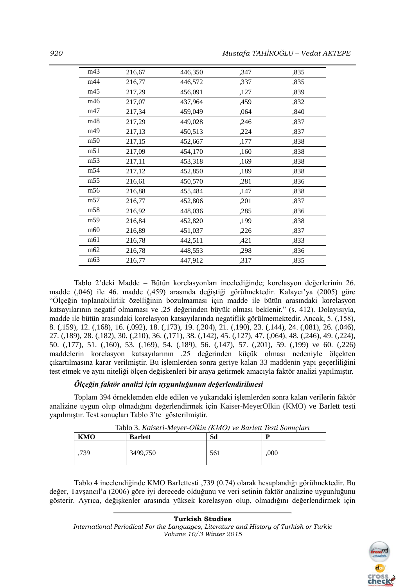| m43             | 216,67 | 446,350 | ,347 | ,835 |
|-----------------|--------|---------|------|------|
| m44             | 216,77 | 446,572 | ,337 | ,835 |
| m45             | 217,29 | 456,091 | ,127 | ,839 |
| m46             | 217,07 | 437,964 | ,459 | ,832 |
| m47             | 217,34 | 459,049 | ,064 | ,840 |
| m48             | 217,29 | 449,028 | ,246 | ,837 |
| m49             | 217,13 | 450,513 | ,224 | ,837 |
| m50             | 217,15 | 452,667 | ,177 | ,838 |
| m51             | 217,09 | 454,170 | ,160 | ,838 |
| m <sub>53</sub> | 217,11 | 453,318 | ,169 | ,838 |
| m54             | 217,12 | 452,850 | ,189 | ,838 |
| m <sub>55</sub> | 216,61 | 450,570 | ,281 | ,836 |
| m56             | 216,88 | 455,484 | ,147 | ,838 |
| m <sub>57</sub> | 216,77 | 452,806 | ,201 | ,837 |
| m <sub>58</sub> | 216,92 | 448,036 | ,285 | ,836 |
| m <sub>59</sub> | 216,84 | 452,820 | ,199 | ,838 |
| m60             | 216,89 | 451,037 | ,226 | ,837 |
| m61             | 216,78 | 442,511 | ,421 | ,833 |
| m62             | 216,78 | 448,553 | ,298 | ,836 |
| m <sub>63</sub> | 216,77 | 447,912 | ,317 | ,835 |
|                 |        |         |      |      |

Tablo 2'deki Madde – Bütün korelasyonları incelediğinde; korelasyon değerlerinin 26. madde (,046) ile 46. madde (,459) arasında değiştiği görülmektedir. Kalaycı'ya (2005) göre "Ölçeğin toplanabilirlik özelliğinin bozulmaması için madde ile bütün arasındaki korelasyon katsayılarının negatif olmaması ve ,25 değerinden büyük olması beklenir." (s. 412). Dolayısıyla, madde ile bütün arasındaki korelasyon katsayılarında negatiflik görülmemektedir. Ancak, 5. (,158), 8. (,159), 12. (,168), 16. (,092), 18. (,173), 19. (,204), 21. (,190), 23. (,144), 24. (,081), 26. (,046), 27. (,189), 28. (,182), 30. (,210), 36. (,171), 38. (,142), 45. (,127), 47. (,064), 48. (,246), 49. (,224), 50. (,177), 51. (,160), 53. (,169), 54. (,189), 56. (,147), 57. (,201), 59. (,199) ve 60. (,226) maddelerin korelasyon katsayılarının ,25 değerinden küçük olması nedeniyle ölçekten çıkartılmasına karar verilmiştir. Bu işlemlerden sonra geriye kalan 33 maddenin yapı geçerliliğini test etmek ve aynı niteliği ölçen değişkenleri bir araya getirmek amacıyla faktör analizi yapılmıştır.

## *Ölçeğin faktör analizi için uygunluğunun değerlendirilmesi*

Toplam 394 örneklemden elde edilen ve yukarıdaki işlemlerden sonra kalan verilerin faktör analizine uygun olup olmadığını değerlendirmek için Kaiser-MeyerOlkin (KMO) ve Barlett testi yapılmıştır. Test sonuçları Tablo 3'te gösterilmiştir.

| KMO | <b>Barlett</b> | Sd  |      |
|-----|----------------|-----|------|
| 739 | 3499.750       | 561 | .000 |

Tablo 4 incelendiğinde KMO Barlettesti ,739 (0.74) olarak hesaplandığı görülmektedir. Bu değer, Tavşancıl'a (2006) göre iyi derecede olduğunu ve veri setinin faktör analizine uygunluğunu gösterir. Ayrıca, değişkenler arasında yüksek korelasyon olup, olmadığını değerlendirmek için

## **Turkish Studies**

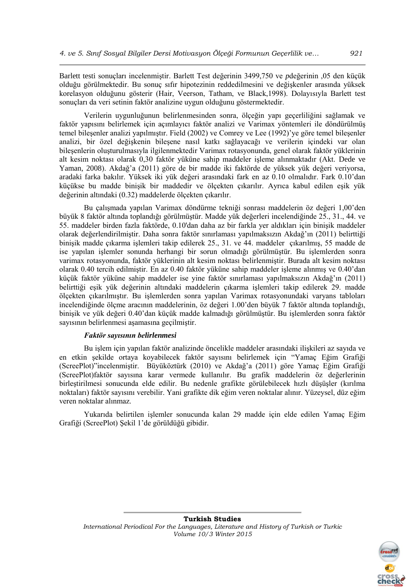Barlett testi sonuçları incelenmiştir. Barlett Test değerinin 3499,750 ve *p*değerinin ,05 den küçük olduğu görülmektedir. Bu sonuç sıfır hipotezinin reddedilmesini ve değişkenler arasında yüksek korelasyon olduğunu gösterir (Hair, Veerson, Tatham, ve Black,1998). Dolayısıyla Barlett test sonuçları da veri setinin faktör analizine uygun olduğunu göstermektedir.

Verilerin uygunluğunun belirlenmesinden sonra, ölçeğin yapı geçerliliğini sağlamak ve faktör yapısını belirlemek için açımlayıcı faktör analizi ve Varimax yöntemleri ile döndürülmüş temel bileşenler analizi yapılmıştır. Field (2002) ve Comrey ve Lee (1992)'ye göre temel bileşenler analizi, bir özel değişkenin bileşene nasıl katkı sağlayacağı ve verilerin içindeki var olan bileşenlerin oluşturulmasıyla ilgilenmektedir Varimax rotasyonunda, genel olarak faktör yüklerinin alt kesim noktası olarak 0,30 faktör yüküne sahip maddeler işleme alınmaktadır (Akt. Dede ve Yaman, 2008). Akdağ'a (2011) göre de bir madde iki faktörde de yüksek yük değeri veriyorsa, aradaki farka bakılır. Yüksek iki yük değeri arasındaki fark en az 0.10 olmalıdır. Fark 0.10'dan küçükse bu madde binişik bir maddedir ve ölçekten çıkarılır. Ayrıca kabul edilen eşik yük değerinin altındaki (0.32) maddelerde ölçekten çıkarılır.

Bu çalışmada yapılan Varimax döndürme tekniği sonrası maddelerin öz değeri 1,00'den büyük 8 faktör altında toplandığı görülmüştür. Madde yük değerleri incelendiğinde 25., 31., 44. ve 55. maddeler birden fazla faktörde, 0.10'dan daha az bir farkla yer aldıkları için binişik maddeler olarak değerlendirilmiştir. Daha sonra faktör sınırlaması yapılmaksızın Akdağ'ın (2011) belirttiği binişik madde çıkarma işlemleri takip edilerek 25., 31. ve 44. maddeler çıkarılmış, 55 madde de ise yapılan işlemler sonunda herhangi bir sorun olmadığı görülmüştür. Bu işlemlerden sonra varimax rotasyonunda, faktör yüklerinin alt kesim noktası belirlenmiştir. Burada alt kesim noktası olarak 0.40 tercih edilmiştir. En az 0.40 faktör yüküne sahip maddeler işleme alınmış ve 0.40'dan küçük faktör yüküne sahip maddeler ise yine faktör sınırlaması yapılmaksızın Akdağ'ın (2011) belirttiği eşik yük değerinin altındaki maddelerin çıkarma işlemleri takip edilerek 29. madde ölçekten çıkarılmıştır. Bu işlemlerden sonra yapılan Varimax rotasyonundaki varyans tabloları incelendiğinde ölçme aracının maddelerinin, öz değeri 1.00'den büyük 7 faktör altında toplandığı, binişik ve yük değeri 0.40'dan küçük madde kalmadığı görülmüştür. Bu işlemlerden sonra faktör sayısının belirlenmesi aşamasına geçilmiştir.

## *Faktör sayısının belirlenmesi*

Bu işlem için yapılan faktör analizinde öncelikle maddeler arasındaki ilişkileri az sayıda ve en etkin şekilde ortaya koyabilecek faktör sayısını belirlemek için "Yamaç Eğim Grafiği (ScreePlot)"incelenmiştir. Büyüköztürk (2010) ve Akdağ'a (2011) göre Yamaç Eğim Grafiği (ScreePlot)faktör sayısına karar vermede kullanılır. Bu grafik maddelerin öz değerlerinin birleştirilmesi sonucunda elde edilir. Bu nedenle grafikte görülebilecek hızlı düşüşler (kırılma noktaları) faktör sayısını verebilir. Yani grafikte dik eğim veren noktalar alınır. Yüzeysel, düz eğim veren noktalar alınmaz.

Yukarıda belirtilen işlemler sonucunda kalan 29 madde için elde edilen Yamaç Eğim Grafiği (ScreePlot) Şekil 1'de görüldüğü gibidir.

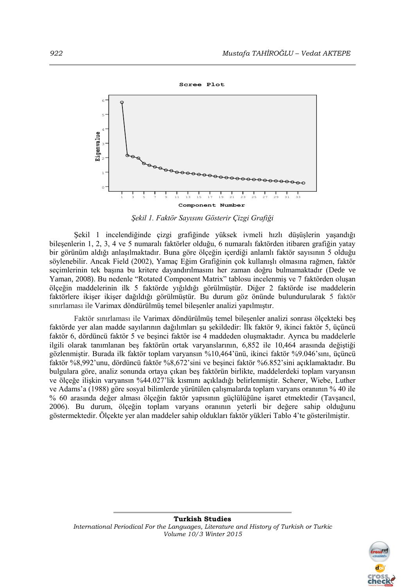

*Şekil 1. Faktör Sayısını Gösterir Çizgi Grafiği*

Şekil 1 incelendiğinde çizgi grafiğinde yüksek ivmeli hızlı düşüşlerin yaşandığı bileşenlerin 1, 2, 3, 4 ve 5 numaralı faktörler olduğu, 6 numaralı faktörden itibaren grafiğin yatay bir görünüm aldığı anlaşılmaktadır. Buna göre ölçeğin içerdiği anlamlı faktör sayısının 5 olduğu söylenebilir. Ancak Field (2002), Yamaç Eğim Grafiğinin çok kullanışlı olmasına rağmen, faktör seçimlerinin tek başına bu kritere dayandırılmasını her zaman doğru bulmamaktadır (Dede ve Yaman, 2008). Bu nedenle "Rotated Component Matrix" tablosu incelenmiş ve 7 faktörden oluşan ölçeğin maddelerinin ilk 5 faktörde yığıldığı görülmüştür. Diğer 2 faktörde ise maddelerin faktörlere ikişer ikişer dağıldığı görülmüştür. Bu durum göz önünde bulundurularak 5 faktör sınırlaması ile Varimax döndürülmüş temel bileşenler analizi yapılmıştır.

Faktör sınırlaması ile Varimax döndürülmüş temel bileşenler analizi sonrası ölçekteki beş faktörde yer alan madde sayılarının dağılımları şu şekildedir: İlk faktör 9, ikinci faktör 5, üçüncü faktör 6, dördüncü faktör 5 ve beşinci faktör ise 4 maddeden oluşmaktadır. Ayrıca bu maddelerle ilgili olarak tanımlanan beş faktörün ortak varyanslarının, 6,852 ile 10,464 arasında değiştiği gözlenmiştir. Burada ilk faktör toplam varyansın %10,464'ünü, ikinci faktör %9.046'sını, üçüncü faktör %8,992'unu, dördüncü faktör %8,672'sini ve beşinci faktör %6.852'sini açıklamaktadır. Bu bulgulara göre, analiz sonunda ortaya çıkan beş faktörün birlikte, maddelerdeki toplam varyansın ve ölçeğe ilişkin varyansın %44.027'lik kısmını açıkladığı belirlenmiştir. Scherer, Wiebe, Luther ve Adams'a (1988) göre sosyal bilimlerde yürütülen çalışmalarda toplam varyans oranının % 40 ile % 60 arasında değer alması ölçeğin faktör yapısının güçlülüğüne işaret etmektedir (Tavşancıl, 2006). Bu durum, ölçeğin toplam varyans oranının yeterli bir değere sahip olduğunu göstermektedir. Ölçekte yer alan maddeler sahip oldukları faktör yükleri Tablo 4'te gösterilmiştir.

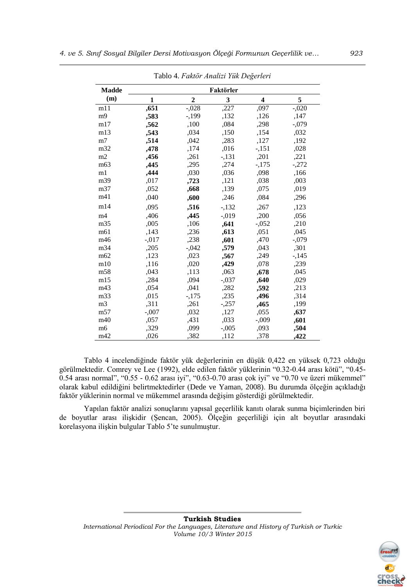|                 |              |                |           | ∽                       |         |
|-----------------|--------------|----------------|-----------|-------------------------|---------|
| <b>Madde</b>    |              |                | Faktörler |                         |         |
| (m)             | $\mathbf{1}$ | $\overline{2}$ | 3         | $\overline{\mathbf{4}}$ | 5       |
| m11             | ,651         | $-.028$        | ,227      | ,097                    | $-.020$ |
| m <sub>9</sub>  | ,583         | $-199$         | ,132      | ,126                    | ,147    |
| m17             | ,562         | ,100           | ,084      | ,298                    | $-.079$ |
| m13             | ,543         | ,034           | ,150      | ,154                    | ,032    |
| m <sub>7</sub>  | ,514         | ,042           | ,283      | ,127                    | ,192    |
| m32             | ,478         | ,174           | ,016      | $-151$                  | ,028    |
| m2              | ,456         | ,261           | $-131$    | ,201                    | ,221    |
| m63             | ,445         | ,295           | ,274      | $-175$                  | $-.272$ |
| m1              | ,444         | ,030           | ,036      | ,098                    | ,166    |
| m39             | ,017         | ,723           | ,121      | ,038                    | ,003    |
| m37             | ,052         | ,668           | ,139      | ,075                    | ,019    |
| m41             | ,040         | ,600           | ,246      | ,084                    | ,296    |
| m14             | ,095         | ,516           | $-132$    | ,267                    | ,123    |
| m <sub>4</sub>  | ,406         | ,445           | $-.019$   | ,200                    | ,056    |
| m35             | ,005         | ,106           | ,641      | $-.052$                 | ,210    |
| m61             | ,143         | ,236           | ,613      | ,051                    | ,045    |
| m46             | $-.017$      | ,238           | ,601      | ,470                    | $-.079$ |
| m34             | ,205         | $-.042$        | ,579      | ,043                    | ,301    |
| m62             | ,123         | ,023           | ,567      | ,249                    | $-145$  |
| m10             | ,116         | ,020           | ,429      | ,078                    | ,239    |
| m58             | ,043         | ,113           | ,063      | ,678                    | ,045    |
| m15             | ,284         | ,094           | $-.037$   | ,640                    | ,029    |
| m43             | ,054         | ,041           | ,282      | ,592                    | ,213    |
| m33             | ,015         | $-175$         | ,235      | ,496                    | ,314    |
| m <sub>3</sub>  | ,311         | ,261           | $-.257$   | ,465                    | ,199    |
| m <sub>57</sub> | $-.007$      | ,032           | ,127      | ,055                    | ,637    |
| m40             | ,057         | ,431           | ,033      | $-0.009$                | ,601    |
| m6              | ,329         | ,099           | $-.005$   | ,093                    | ,504    |
| m42             | ,026         | ,382           | ,112      | ,378                    | ,422    |

Tablo 4. *Faktör Analizi Yük Değerleri*

Tablo 4 incelendiğinde faktör yük değerlerinin en düşük 0,422 en yüksek 0,723 olduğu görülmektedir. Comrey ve Lee (1992), elde edilen faktör yüklerinin "0.32-0.44 arası kötü", "0.45- 0.54 arası normal", "0.55 - 0.62 arası iyi", "0.63-0.70 arası çok iyi" ve "0.70 ve üzeri mükemmel" olarak kabul edildiğini belirtmektedirler (Dede ve Yaman, 2008). Bu durumda ölçeğin açıkladığı faktör yüklerinin normal ve mükemmel arasında değişim gösterdiği görülmektedir.

Yapılan faktör analizi sonuçlarını yapısal geçerlilik kanıtı olarak sunma biçimlerinden biri de boyutlar arası ilişkidir (Şencan, 2005). Ölçeğin geçerliliği için alt boyutlar arasındaki korelasyona ilişkin bulgular Tablo 5'te sunulmuştur.

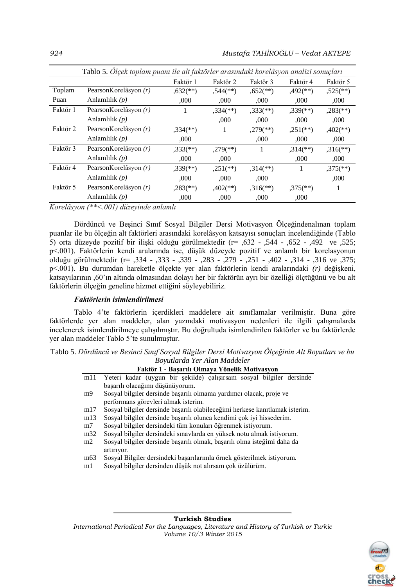|          | Tablo 5. Ölçek toplam puanı ile alt faktörler arasındaki korelâsyon analizi sonuçları |                          |                          |                          |                          |                          |
|----------|---------------------------------------------------------------------------------------|--------------------------|--------------------------|--------------------------|--------------------------|--------------------------|
|          |                                                                                       | Faktör 1                 | Faktör 2                 | Faktör 3                 | Faktör 4                 | Faktör 5                 |
| Toplam   | PearsonKorelâsyon (r)                                                                 | $,632$ <sup>**</sup> )   | $,544$ (**)              | $0.652$ <sup>**</sup> )  | $,492$ <sup>(**)</sup> ) | $,525$ <sup>**</sup> )   |
| Puan     | Anlamlılık $(p)$                                                                      | ,000                     | ,000                     | ,000                     | ,000                     | ,000                     |
| Faktör 1 | PearsonKorelâsyon (r)                                                                 |                          | $,334$ <sup>(**)</sup> ) | $,333$ <sup>(**)</sup> ) | $,339$ <sup>(**)</sup> ) | $,283$ <sup>(**)</sup> ) |
|          | Anlamlılık $(p)$                                                                      |                          | .000                     | .000                     | .000                     | .000                     |
| Faktör 2 | PearsonKorelâsyon (r)                                                                 | $,334$ <sup>(**)</sup> ) | 1                        | $,279$ <sup>**</sup> )   | $.251$ <sup>(**)</sup> ) | $,402$ <sup>**</sup> )   |
|          | Anlamlılık $(p)$                                                                      | .000                     |                          | ,000                     | ,000                     | ,000                     |
| Faktör 3 | PearsonKorelâsyon (r)                                                                 | $,333$ (**)              | $,279$ <sup>(**)</sup> ) | 1                        | $,314$ <sup>**</sup> )   | $,316$ <sup>**</sup> )   |
|          | Anlamlılık $(p)$                                                                      | .000                     | ,000                     |                          | ,000                     | ,000                     |
| Faktör 4 | PearsonKorelâsyon (r)                                                                 | $,339$ <sup>(**)</sup> ) | $,251$ (**)              | $,314$ <sup>(**)</sup> ) | 1                        | $,375$ <sup>**</sup> )   |
|          | Anlamlılık $(p)$                                                                      | ,000                     | ,000                     | ,000                     |                          | ,000                     |
| Faktör 5 | PearsonKorelâsyon (r)                                                                 | $,283$ <sup>(**)</sup> ) | $,402$ <sup>**</sup> )   | $,316$ <sup>**</sup> )   | $,375$ <sup>(**)</sup> ) | 1                        |
|          | Anlamlılık $(p)$                                                                      | ,000                     | ,000                     | .000                     | ,000                     |                          |

*Korelâsyon (\*\*<.001) düzeyinde anlamlı*

Dördüncü ve Beşinci Sınıf Sosyal Bilgiler Dersi Motivasyon Ölçeğindenalınan toplam puanlar ile bu ölçeğin alt faktörleri arasındaki korelâsyon katsayısı sonuçları incelendiğinde (Tablo 5) orta düzeyde pozitif bir ilişki olduğu görülmektedir (r= ,632 - ,544 - ,652 - ,492 ve ,525; p<.001). Faktörlerin kendi aralarında ise, düşük düzeyde pozitif ve anlamlı bir korelasyonun olduğu görülmektedir (r= ,334 - ,333 - ,339 - ,283 - ,279 - ,251 - ,402 - ,314 - ,316 ve ,375; p<.001). Bu durumdan hareketle ölçekte yer alan faktörlerin kendi aralarındaki *(r)* değişkeni, katsayılarının ,60'ın altında olmasından dolayı her bir faktörün ayrı bir özelliği ölçtüğünü ve bu alt faktörlerin ölçeğin geneline hizmet ettiğini söyleyebiliriz.

## *Faktörlerin isimlendirilmesi*

Tablo 4'te faktörlerin içerdikleri maddelere ait sınıflamalar verilmiştir. Buna göre faktörlerde yer alan maddeler, alan yazındaki motivasyon nedenleri ile ilgili çalışmalarda incelenerek isimlendirilmeye çalışılmıştır. Bu doğrultuda isimlendirilen faktörler ve bu faktörlerde yer alan maddeler Tablo 5'te sunulmuştur.

| Tablo 5. Dördüncü ve Besinci Sınıf Sosyal Bilgiler Dersi Motivasyon Ölçeğinin Alt Boyutları ve bu |  |
|---------------------------------------------------------------------------------------------------|--|
| Bovutlarda Yer Alan Maddeler                                                                      |  |

|     | Faktör 1 - Başarılı Olmaya Yönelik Motivasyon                                         |
|-----|---------------------------------------------------------------------------------------|
| m11 | Yeteri kadar (uygun bir şekilde) çalışırsam sosyal bilgiler dersinde                  |
|     | başarılı olacağımı düşünüyorum.                                                       |
| m9  | Sosyal bilgiler dersinde başarılı olmama yardımcı olacak, proje ve                    |
|     | performans görevleri almak isterim.                                                   |
| m17 | Sosyal bilgiler dersinde başarılı olabileceğimi herkese kanıtlamak isterim.           |
| m13 | Sosyal bilgiler dersinde başarılı olunca kendimi çok iyi hissederim.                  |
| m7  | Sosyal bilgiler dersindeki tüm konuları öğrenmek istiyorum.                           |
| m32 | Sosyal bilgiler dersindeki sınavlarda en yüksek notu almak istiyorum.                 |
| m2  | Sosyal bilgiler dersinde başarılı olmak, başarılı olma isteğimi daha da<br>artırıyor. |
| m63 | Sosyal Bilgiler dersindeki başarılarımla örnek gösterilmek istiyorum.                 |
| m1  | Sosyal bilgiler dersinden düşük not alırsam çok üzülürüm.                             |
|     |                                                                                       |

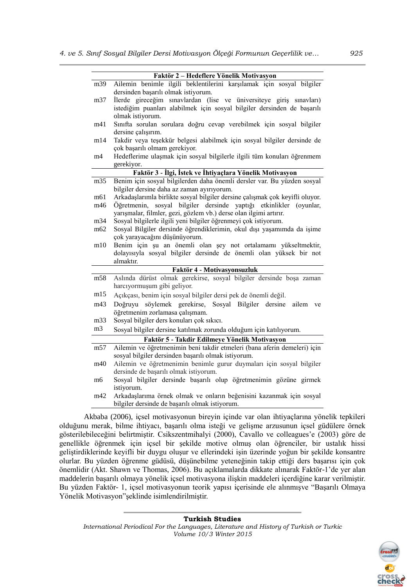|                 | Faktör 2 - Hedeflere Yönelik Motivasyon                                      |
|-----------------|------------------------------------------------------------------------------|
| m39             | Ailemin benimle ilgili beklentilerini karşılamak için sosyal bilgiler        |
|                 | dersinden başarılı olmak istiyorum.                                          |
| m37             | İlerde gireceğim sınavlardan (lise ve üniversiteye giriş sınavları)          |
|                 | istediğim puanları alabilmek için sosyal bilgiler dersinden de başarılı      |
|                 | olmak istiyorum.                                                             |
| m41             | Sınıfta sorulan sorulara doğru cevap verebilmek için sosyal bilgiler         |
|                 | dersine çalışırım.                                                           |
| m14             | Takdir veya teşekkür belgesi alabilmek için sosyal bilgiler dersinde de      |
|                 | çok başarılı olmam gerekiyor.                                                |
| m4              | Hedeflerime ulaşmak için sosyal bilgilerle ilgili tüm konuları öğrenmem      |
|                 | gerekiyor.                                                                   |
|                 | Faktör 3 - İlgi, İstek ve İhtiyaçlara Yönelik Motivasyon                     |
| m35             | Benim için sosyal bilgilerden daha önemli dersler var. Bu yüzden sosyal      |
|                 | bilgiler dersine daha az zaman ayırıyorum.                                   |
| m61             | Arkadaşlarımla birlikte sosyal bilgiler dersine çalışmak çok keyifli oluyor. |
| m46             | sosyal bilgiler dersinde yaptığı etkinlikler (oyunlar,<br>Öğretmenin,        |
|                 | yarışmalar, filmler, gezi, gözlem vb.) derse olan ilgimi artırır.            |
| m34             | Sosyal bilgilerle ilgili yeni bilgiler öğrenmeyi çok istiyorum.              |
| m62             | Sosyal Bilgiler dersinde öğrendiklerimin, okul dışı yaşamımda da işime       |
|                 | çok yarayacağını düşünüyorum.                                                |
| m10             | Benim için şu an önemli olan şey not ortalamamı yükseltmektir,               |
|                 | dolayısıyla sosyal bilgiler dersinde de önemli olan yüksek bir not           |
|                 | almaktır.                                                                    |
|                 | Faktör 4 - Motivasyonsuzluk                                                  |
| m58             | Aslında dürüst olmak gerekirse, sosyal bilgiler dersinde boşa zaman          |
|                 | harcıyormuşum gibi geliyor.                                                  |
| m15             | Açıkçası, benim için sosyal bilgiler dersi pek de önemli değil.              |
| m43             | söylemek gerekirse, Sosyal Bilgiler dersine<br>Doğruyu<br>ailem<br>ve        |
|                 | öğretmenim zorlamasa çalışmam.                                               |
| m33             | Sosyal bilgiler ders konuları çok sıkıcı.                                    |
| m <sub>3</sub>  | Sosyal bilgiler dersine katılmak zorunda olduğum için katılıyorum.           |
|                 | Faktör 5 - Takdir Edilmeye Yönelik Motivasyon                                |
| m <sub>57</sub> | Ailemin ve öğretmenimin beni takdir etmeleri (bana aferin demeleri) için     |
|                 | sosyal bilgiler dersinden başarılı olmak istiyorum.                          |
| m40             | Ailemin ve öğretmenimin benimle gurur duymaları için sosyal bilgiler         |
|                 | dersinde de başarılı olmak istiyorum.                                        |
| m6              | Sosyal bilgiler dersinde başarılı olup öğretmenimin gözüne girmek            |
|                 | istiyorum.                                                                   |
| m42             | Arkadaşlarıma örnek olmak ve onların beğenisini kazanmak için sosyal         |
|                 | bilgiler dersinde de başarılı olmak istiyorum.                               |

Akbaba (2006), içsel motivasyonun bireyin içinde var olan ihtiyaçlarına yönelik tepkileri olduğunu merak, bilme ihtiyacı, başarılı olma isteği ve gelişme arzusunun içsel güdülere örnek gösterilebileceğini belirtmiştir. Csikszentmihalyi (2000), Cavallo ve colleagues'e (2003) göre de genellikle öğrenmek için içsel bir şekilde motive olmuş olan öğrenciler, bir ustalık hissi geliştirdiklerinde keyifli bir duygu oluşur ve ellerindeki işin üzerinde yoğun bir şekilde konsantre olurlar. Bu yüzden öğrenme güdüsü, düşünebilme yeteneğinin takip ettiği ders başarısı için çok önemlidir (Akt. Shawn ve Thomas, 2006). Bu açıklamalarda dikkate alınarak Faktör-1'de yer alan maddelerin başarılı olmaya yönelik içsel motivasyona ilişkin maddeleri içerdiğine karar verilmiştir. Bu yüzden Faktör- 1, içsel motivasyonun teorik yapısı içerisinde ele alınmışve "Başarılı Olmaya Yönelik Motivasyon"şeklinde isimlendirilmiştir.

#### **Turkish Studies**

*International Periodical For the Languages, Literature and History of Turkish or Turkic Volume 10/3 Winter 2015*

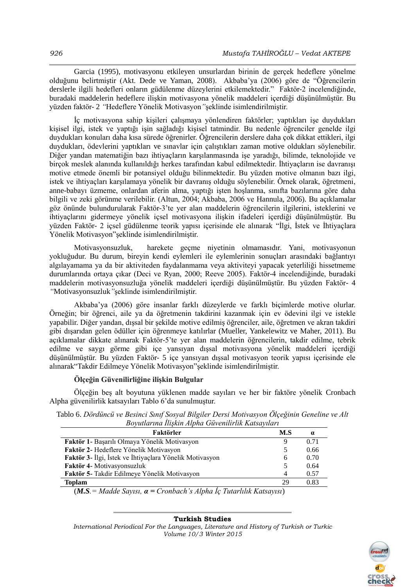Garcia (1995), motivasyonu etkileyen unsurlardan birinin de gerçek hedeflere yönelme olduğunu belirtmiştir (Akt. Dede ve Yaman, 2008). Akbaba'ya (2006) göre de "Öğrencilerin derslerle ilgili hedefleri onların güdülenme düzeylerini etkilemektedir." Faktör-2 incelendiğinde, buradaki maddelerin hedeflere ilişkin motivasyona yönelik maddeleri içerdiği düşünülmüştür. Bu yüzden faktör- 2 *"*Hedeflere Yönelik Motivasyon*"*şeklinde isimlendirilmiştir.

İç motivasyona sahip kişileri çalışmaya yönlendiren faktörler; yaptıkları işe duydukları kişisel ilgi, istek ve yaptığı işin sağladığı kişisel tatmindir. Bu nedenle öğrenciler genelde ilgi duydukları konuları daha kısa sürede öğrenirler. Öğrencilerin derslere daha çok dikkat ettikleri, ilgi duydukları, ödevlerini yaptıkları ve sınavlar için çalıştıkları zaman motive oldukları söylenebilir. Diğer yandan matematiğin bazı ihtiyaçların karşılanmasında işe yaradığı, bilimde, teknolojide ve birçok meslek alanında kullanıldığı herkes tarafından kabul edilmektedir. İhtiyaçların ise davranışı motive etmede önemli bir potansiyel olduğu bilinmektedir. Bu yüzden motive olmanın bazı ilgi, istek ve ihtiyaçları karşılamaya yönelik bir davranış olduğu söylenebilir. Örnek olarak, öğretmeni, anne-babayı üzmeme, onlardan aferin alma, yaptığı işten hoşlanma, sınıfta bazılarına göre daha bilgili ve zeki görünme verilebilir. (Altun, 2004; Akbaba, 2006 ve Hannula, 2006). Bu açıklamalar göz önünde bulundurularak Faktör-3'te yer alan maddelerin öğrencilerin ilgilerini, isteklerini ve ihtiyaçlarını gidermeye yönelik içsel motivasyona ilişkin ifadeleri içerdiği düşünülmüştür. Bu yüzden Faktör- 2 içsel güdülenme teorik yapısı içerisinde ele alınarak "İlgi, İstek ve İhtiyaçlara Yönelik Motivasyon"şeklinde isimlendirilmiştir.

Motivasyonsuzluk, harekete geçme niyetinin olmamasıdır. Yani, motivasyonun yokluğudur. Bu durum, bireyin kendi eylemleri ile eylemlerinin sonuçları arasındaki bağlantıyı algılayamama ya da bir aktiviteden faydalanmama veya aktiviteyi yapacak yeterliliği hissetmeme durumlarında ortaya çıkar (Deci ve Ryan, 2000; Reeve 2005). Faktör-4 incelendiğinde, buradaki maddelerin motivasyonsuzluğa yönelik maddeleri içerdiği düşünülmüştür. Bu yüzden Faktör- 4 *"*Motivasyonsuzluk*"*şeklinde isimlendirilmiştir.

Akbaba'ya (2006) göre insanlar farklı düzeylerde ve farklı biçimlerde motive olurlar. Örneğin; bir öğrenci, aile ya da öğretmenin takdirini kazanmak için ev ödevini ilgi ve istekle yapabilir. Diğer yandan, dışsal bir şekilde motive edilmiş öğrenciler, aile, öğretmen ve akran takdiri gibi dışarıdan gelen ödüller için öğrenmeye katılırlar (Mueller, Yankelewitz ve Maher, 2011). Bu açıklamalar dikkate alınarak Faktör-5'te yer alan maddelerin öğrencilerin, takdir edilme, tebrik edilme ve saygı görme gibi içe yansıyan dışsal motivasyona yönelik maddeleri içerdiği düşünülmüştür. Bu yüzden Faktör- 5 içe yansıyan dışsal motivasyon teorik yapısı içerisinde ele alınarak"Takdir Edilmeye Yönelik Motivasyon"şeklinde isimlendirilmiştir.

## **Ölçeğin Güvenilirliğine ilişkin Bulgular**

Ölçeğin beş alt boyutuna yüklenen madde sayıları ve her bir faktöre yönelik Cronbach Alpha güvenilirlik katsayıları Tablo 6'da sunulmuştur.

Tablo 6. *Dördüncü ve Besinci Sınıf Sosyal Bilgiler Dersi Motivasyon Ölçeğinin Geneline ve Alt Boyutlarına İlişkin Alpha Güvenilirlik Katsayıları*

| Faktörler                                               | M.S            | $\alpha$ |
|---------------------------------------------------------|----------------|----------|
| Faktör 1- Başarılı Olmaya Yönelik Motivasyon            |                | 0.71     |
| Faktör 2- Hedeflere Yönelik Motivasyon                  |                | 0.66     |
| Faktör 3- İlgi, İstek ve İhtiyaçlara Yönelik Motivasyon | 6              | 0.70     |
| Faktör 4- Motivasyonsuzluk                              |                | 0.64     |
| Faktör 5- Takdir Edilmeye Yönelik Motivasyon            | $\overline{A}$ | 0.57     |
| <b>Toplam</b>                                           | 29             | 0.83     |
|                                                         |                |          |

(*M.S.= Madde Sayısı, α = Cronbach's Alpha İç Tutarlılık Katsayısı*)

#### **Turkish Studies**

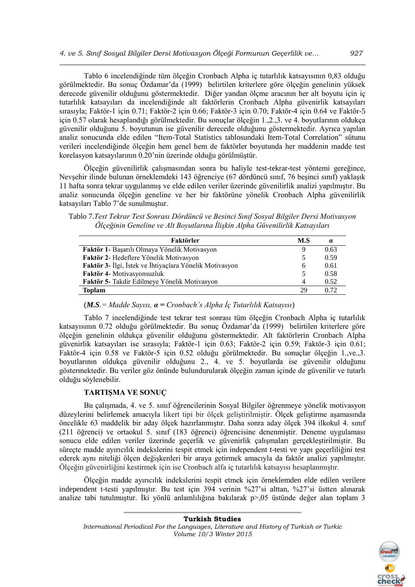Tablo 6 incelendiğinde tüm ölçeğin Cronbach Alpha iç tutarlılık katsayısının 0,83 olduğu görülmektedir. Bu sonuç Özdamar'da (1999) belirtilen kriterlere göre ölçeğin genelinin yüksek derecede güvenilir olduğunu göstermektedir. Diğer yandan ölçme aracının her alt boyutu için iç tutarlılık katsayıları da incelendiğinde alt faktörlerin Cronbach Alpha güvenirlik katsayıları sırasıyla; Faktör-1 için 0.71; Faktör-2 için 0.66; Faktör-3 için 0.70; Faktör-4 için 0.64 ve Faktör-5 için 0.57 olarak hesaplandığı görülmektedir. Bu sonuçlar ölçeğin 1.,2.,3. ve 4. boyutlarının oldukça güvenilir olduğunu 5. boyutunun ise güvenilir derecede olduğunu göstermektedir. Ayrıca yapılan analiz sonucunda elde edilen "Item-Total Statistics tablosundaki Item-Total Correlation" sütunu verileri incelendiğinde ölçeğin hem genel hem de faktörler boyutunda her maddenin madde test korelasyon katsayılarının 0.20'nin üzerinde olduğu görülmüştür.

Ölçeğin güvenilirlik çalışmasından sonra bu haliyle test-tekrar-test yöntemi gereğince, Nevşehir ilinde bulunan örneklemdeki 143 öğrenciye (67 dördüncü sınıf, 76 beşinci sınıf) yaklaşık 11 hafta sonra tekrar uygulanmış ve elde edilen veriler üzerinde güvenilirlik analizi yapılmıştır. Bu analiz sonucunda ölçeğin geneline ve her bir faktörüne yönelik Cronbach Alpha güvenilirlik katsayıları Tablo 7'de sunulmuştur.

Tablo 7.*Test Tekrar Test Sonrası Dördüncü ve Besinci Sınıf Sosyal Bilgiler Dersi Motivasyon Ölçeğinin Geneline ve Alt Boyutlarına İlişkin Alpha Güvenilirlik Katsayıları*

| M.S          | $\alpha$ |
|--------------|----------|
| 9            | 0.63     |
| 5            | 0.59     |
| <sub>b</sub> | 0.61     |
| 5            | 0.58     |
| 4            | 0.52     |
| 29           | 0.72     |
|              |          |

(*M.S.= Madde Sayısı, α = Cronbach's Alpha İç Tutarlılık Katsayısı*)

Tablo 7 incelendiğinde test tekrar test sonrası tüm ölçeğin Cronbach Alpha iç tutarlılık katsayısının 0.72 olduğu görülmektedir. Bu sonuç Özdamar'da (1999) belirtilen kriterlere göre ölçeğin genelinin oldukça güvenilir olduğunu göstermektedir. Alt faktörlerin Cronbach Alpha güvenirlik katsayıları ise sırasıyla; Faktör-1 için 0.63; Faktör-2 için 0.59; Faktör-3 için 0.61; Faktör-4 için 0.58 ve Faktör-5 için 0.52 olduğu görülmektedir. Bu sonuçlar ölçeğin 1.,ve.,3. boyutlarının oldukça güvenilir olduğunu 2., 4. ve 5. boyutlarda ise güvenilir olduğunu göstermektedir. Bu veriler göz önünde bulundurularak ölçeğin zaman içinde de güvenilir ve tutarlı olduğu söylenebilir.

# **TARTIŞMA VE SONUÇ**

Bu çalışmada, 4. ve 5. sınıf öğrencilerinin Sosyal Bilgiler öğrenmeye yönelik motivasyon düzeylerini belirlemek amacıyla likert tipi bir ölçek geliştirilmiştir. Ölçek geliştirme aşamasında öncelikle 63 maddelik bir aday ölçek hazırlanmıştır. Daha sonra aday ölçek 394 ilkokul 4. sınıf (211 öğrenci) ve ortaokul 5. sınıf (183 öğrenci) öğrencisine denenmiştir. Deneme uygulaması sonucu elde edilen veriler üzerinde geçerlik ve güvenirlik çalışmaları gerçekleştirilmiştir. Bu süreçte madde ayırıcılık indekslerini tespit etmek için independent t-testi ve yapı geçerliliğini test ederek aynı niteliği ölçen değişkenleri bir araya getirmek amacıyla da faktör analizi yapılmıştır. Ölçeğin güvenirliğini kestirmek için ise Cronbach alfa iç tutarlılık katsayısı hesaplanmıştır.

Ölçeğin madde ayırıcılık indekslerini tespit etmek için örneklemden elde edilen verilere independent t-testi yapılmıştır. Bu test için 394 verinin %27'si alttan, %27'si üstten alınarak analize tabi tutulmuştur. İki yönlü anlamlılığına bakılarak p>,05 üstünde değer alan toplam 3

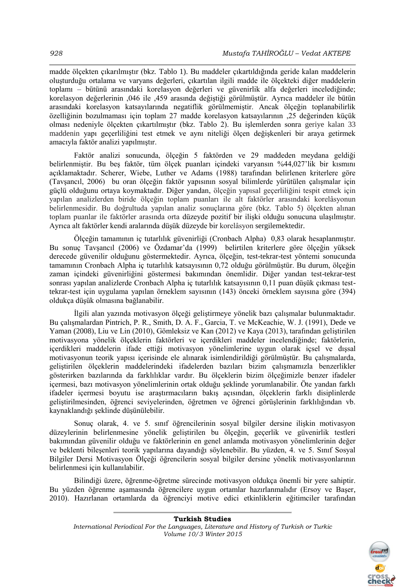madde ölçekten çıkarılmıştır (bkz. Tablo 1). Bu maddeler çıkartıldığında geride kalan maddelerin oluşturduğu ortalama ve varyans değerleri, çıkartılan ilgili madde ile ölçekteki diğer maddelerin toplamı – bütünü arasındaki korelasyon değerleri ve güvenirlik alfa değerleri incelediğinde; korelasyon değerlerinin ,046 ile ,459 arasında değiştiği görülmüştür. Ayrıca maddeler ile bütün arasındaki korelasyon katsayılarında negatiflik görülmemiştir. Ancak ölçeğin toplanabilirlik özelliğinin bozulmaması için toplam 27 madde korelasyon katsayılarının ,25 değerinden küçük olması nedeniyle ölçekten çıkartılmıştır (bkz. Tablo 2). Bu işlemlerden sonra geriye kalan 33 maddenin yapı geçerliliğini test etmek ve aynı niteliği ölçen değişkenleri bir araya getirmek amacıyla faktör analizi yapılmıştır.

Faktör analizi sonucunda, ölçeğin 5 faktörden ve 29 maddeden meydana geldiği belirlenmiştir. Bu beş faktör, tüm ölçek puanları içindeki varyansın %44,027'lik bir kısmını açıklamaktadır. Scherer, Wiebe, Luther ve Adams (1988) tarafından belirlenen kriterlere göre (Tavşancıl, 2006) bu oran ölçeğin faktör yapısının sosyal bilimlerde yürütülen çalışmalar için güçlü olduğunu ortaya koymaktadır. Diğer yandan, ölçeğin yapısal geçerliliğini tespit etmek için yapılan analizlerden biride ölçeğin toplam puanları ile alt faktörler arasındaki korelâsyonun belirlenmesidir. Bu doğrultuda yapılan analiz sonuçlarına göre (bkz. Tablo 5) ölçekten alınan toplam puanlar ile faktörler arasında orta düzeyde pozitif bir ilişki olduğu sonucuna ulaşılmıştır. Ayrıca alt faktörler kendi aralarında düşük düzeyde bir korelâsyon sergilemektedir.

Ölçeğin tamamının iç tutarlılık güvenirliği (Cronbach Alpha) 0,83 olarak hesaplanmıştır. Bu sonuç Tavşancıl (2006) ve Özdamar'da (1999) belirtilen kriterlere göre ölçeğin yüksek derecede güvenilir olduğunu göstermektedir. Ayrıca, ölçeğin, test-tekrar-test yöntemi sonucunda tamamının Cronbach Alpha iç tutarlılık katsayısının 0,72 olduğu görülmüştür. Bu durum, ölçeğin zaman içindeki güvenirliğini göstermesi bakımından önemlidir. Diğer yandan test-tekrar-test sonrası yapılan analizlerde Cronbach Alpha iç tutarlılık katsayısının 0,11 puan düşük çıkması testtekrar-test için uygulama yapılan örneklem sayısının (143) önceki örneklem sayısına göre (394) oldukça düşük olmasına bağlanabilir.

İlgili alan yazında motivasyon ölçeği geliştirmeye yönelik bazı çalışmalar bulunmaktadır. Bu çalışmalardan Pintrich, P. R., Smith, D. A. F., Garcia, T. ve McKeachie, W. J. (1991), Dede ve Yaman (2008), Liu ve Lin (2010), Gömleksiz ve Kan (2012) ve Kaya (2013), tarafından geliştirilen motivasyona yönelik ölçeklerin faktörleri ve içerdikleri maddeler incelendiğinde; faktörlerin, içerdikleri maddelerin ifade ettiği motivasyon yönelimlerine uygun olarak içsel ve dışsal motivasyonun teorik yapısı içerisinde ele alınarak isimlendirildiği görülmüştür. Bu çalışmalarda, geliştirilen ölçeklerin maddelerindeki ifadelerden bazıları bizim çalışmamızla benzerlikler gösterirken bazılarında da farklılıklar vardır. Bu ölçeklerin bizim ölçeğimizle benzer ifadeler içermesi, bazı motivasyon yönelimlerinin ortak olduğu şeklinde yorumlanabilir. Öte yandan farklı ifadeler içermesi boyutu ise araştırmacıların bakış açısından, ölçeklerin farklı disiplinlerde geliştirilmesinden, öğrenci seviyelerinden, öğretmen ve öğrenci görüşlerinin farklılığından vb. kaynaklandığı şeklinde düşünülebilir.

Sonuç olarak, 4. ve 5. sınıf öğrencilerinin sosyal bilgiler dersine ilişkin motivasyon düzeylerinin belirlenmesine yönelik geliştirilen bu ölçeğin, geçerlik ve güvenirlik testleri bakımından güvenilir olduğu ve faktörlerinin en genel anlamda motivasyon yönelimlerinin değer ve beklenti bileşenleri teorik yapılarına dayandığı söylenebilir. Bu yüzden, 4. ve 5. Sınıf Sosyal Bilgiler Dersi Motivasyon Ölçeği öğrencilerin sosyal bilgiler dersine yönelik motivasyonlarının belirlenmesi için kullanılabilir.

Bilindiği üzere, öğrenme-öğretme sürecinde motivasyon oldukça önemli bir yere sahiptir. Bu yüzden öğrenme aşamasında öğrencilere uygun ortamlar hazırlanmalıdır (Ersoy ve Başer, 2010). Hazırlanan ortamlarda da öğrenciyi motive edici etkinliklerin eğitimciler tarafından

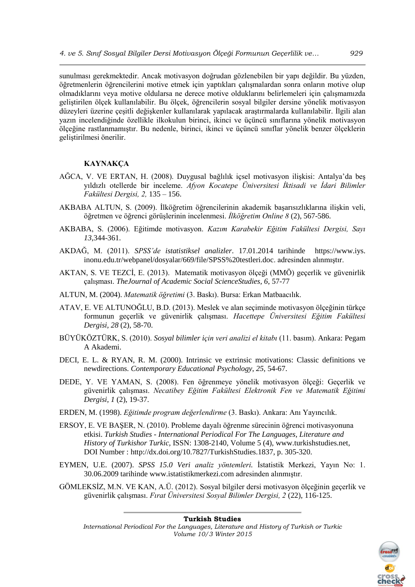sunulması gerekmektedir. Ancak motivasyon doğrudan gözlenebilen bir yapı değildir. Bu yüzden, öğretmenlerin öğrencilerini motive etmek için yaptıkları çalışmalardan sonra onların motive olup olmadıklarını veya motive oldularsa ne derece motive olduklarını belirlemeleri için çalışmamızda geliştirilen ölçek kullanılabilir. Bu ölçek, öğrencilerin sosyal bilgiler dersine yönelik motivasyon düzeyleri üzerine çeşitli değişkenler kullanılarak yapılacak araştırmalarda kullanılabilir. İlgili alan yazın incelendiğinde özellikle ilkokulun birinci, ikinci ve üçüncü sınıflarına yönelik motivasyon ölçeğine rastlanmamıştır. Bu nedenle, birinci, ikinci ve üçüncü sınıflar yönelik benzer ölçeklerin geliştirilmesi önerilir.

# **KAYNAKÇA**

- AĞCA, V. VE ERTAN, H. (2008). Duygusal bağlılık içsel motivasyon ilişkisi: Antalya'da beş yıldızlı otellerde bir inceleme. *Afyon Kocatepe Üniversitesi İktisadi ve İdari Bilimler Fakültesi Dergisi, 2,* 135 – 156.
- AKBABA ALTUN, S. (2009). İlköğretim öğrencilerinin akademik başarısızlıklarına ilişkin veli, öğretmen ve öğrenci görüşlerinin incelenmesi. *İlköğretim Online 8* (2), 567-586.
- AKBABA, S. (2006). Eğitimde motivasyon. *Kazım Karabekir Eğitim Fakültesi Dergisi, Sayı 13*,344-361.
- AKDAĞ, M. (2011). *SPSS'de istatistiksel analizler*. 17.01.2014 tarihinde https://www.iys. inonu.edu.tr/webpanel/dosyalar/669/file/SPSS%20testleri.doc. adresinden alınmıştır.
- AKTAN, S. VE TEZCİ, E. (2013). Matematik motivasyon ölçeği (MMÖ) geçerlik ve güvenirlik çalışması. *TheJournal of Academic Social ScienceStudies, 6*, 57-77
- ALTUN, M. (2004). *Matematik öğretimi* (3. Baskı). Bursa: Erkan Matbaacılık.
- ATAV, E. VE ALTUNOĞLU, B.D. (2013). Meslek ve alan seçiminde motivasyon ölçeğinin türkçe formunun geçerlik ve güvenirlik çalışması. *Hacettepe Üniversitesi Eğitim Fakültesi Dergisi, 28* (2), 58-70.
- BÜYÜKÖZTÜRK, S. (2010). *Sosyal bilimler için veri analizi el kitabı* (11. basım). Ankara: Pegam A Akademi.
- DECI, E. L. & RYAN, R. M. (2000). Intrinsic ve extrinsic motivations: Classic definitions ve newdirections. *Contemporary Educational Psychology*, *25*, 54-67.
- DEDE, Y. VE YAMAN, S. (2008). Fen öğrenmeye yönelik motivasyon ölçeği: Geçerlik ve güvenirlik çalışması. *Necatibey Eğitim Fakültesi Elektronik Fen ve Matematik Eğitimi Dergisi, 1* (2), 19-37.
- ERDEN, M. (1998). *Eğitimde program değerlendirme* (3. Baskı). Ankara: Anı Yayıncılık.
- ERSOY, E. VE BAŞER, N. (2010). Probleme dayalı öğrenme sürecinin öğrenci motivasyonuna etkisi. *Turkish Studies - International Periodical For The Languages, Literature and History of Turkishor Turkic,* ISSN: 1308-2140, Volume 5 (4), [www.turkishstudies.net,](http://www.turkishstudies.net/) DOI Number : http://dx.doi.org/10.7827/TurkishStudies.1837, p. 305-320.
- EYMEN, U.E. (2007). *SPSS 15.0 Veri analiz yöntemleri.* İstatistik Merkezi, Yayın No: 1. 30.06.2009 tarihinde [www.istatistikmerkezi.com](http://www.istatistikmerkezi.com/) adresinden alınmıştır.
- GÖMLEKSİZ, M.N. VE KAN, A.Ü. (2012). Sosyal bilgiler dersi motivasyon ölçeğinin geçerlik ve güvenirlik çalışması. *Fırat Üniversitesi Sosyal Bilimler Dergisi, 2* (22), 116-125.

#### **Turkish Studies**



*International Periodical For the Languages, Literature and History of Turkish or Turkic Volume 10/3 Winter 2015*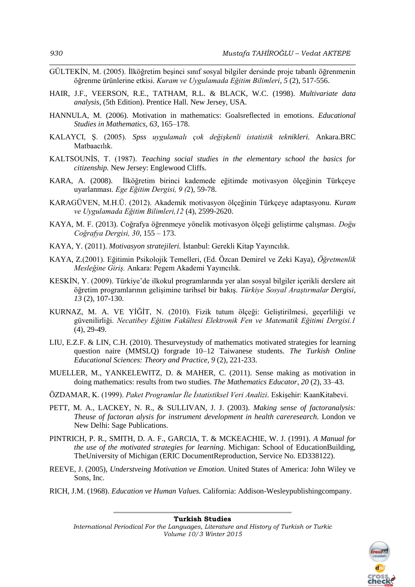- GÜLTEKİN, M. (2005). İlköğretim beşinci sınıf sosyal bilgiler dersinde proje tabanlı öğrenmenin öğrenme ürünlerine etkisi. *Kuram ve Uygulamada Eğitim Bilimleri*, *5* (2), 517-556.
- HAIR, J.F., VEERSON, R.E., TATHAM, R.L. & BLACK, W.C. (1998). *Multivariate data analysis,* (5th Edition). Prentice Hall. New Jersey, USA.
- HANNULA, M. (2006). Motivation in mathematics: Goalsreflected in emotions. *Educational Studies in Mathematics*, *63*, 165–178.
- KALAYCI, Ş. (2005). *Spss uygulamalı çok değişkenli istatistik teknikleri.* Ankara.BRC Matbaacılık.
- KALTSOUNİS, T. (1987). *Teaching social studies in the elementary school the basics for citizenship.* New Jersey: Englewood Cliffs.
- KARA, A. (2008). İlköğretim birinci kademede eğitimde motivasyon ölçeğinin Türkçeye uyarlanması. *Ege Eğitim Dergisi, 9 (*2)*,* 59-78.
- KARAGÜVEN, M.H.Ü. (2012). Akademik motivasyon ölçeğinin Türkçeye adaptasyonu. *Kuram ve Uygulamada Eğitim Bilimleri,12* (4), 2599-2620.
- KAYA, M. F. (2013). Coğrafya öğrenmeye yönelik motivasyon ölçeği geliştirme çalışması. *Doğu Coğrafya Dergisi, 30*, 155 – 173.
- KAYA, Y. (2011). *Motivasyon stratejileri.* İstanbul: Gerekli Kitap Yayıncılık.
- KAYA, Z.(2001). Eğitimin Psikolojik Temelleri, (Ed. Özcan Demirel ve Zeki Kaya), *Öğretmenlik Mesleğine Giriş.* Ankara: Pegem Akademi Yayıncılık.
- KESKİN, Y. (2009). Türkiye'de ilkokul programlarında yer alan sosyal bilgiler içerikli derslere ait öğretim programlarının gelişimine tarihsel bir bakış. *[Türkiye Sosyal Araştırmalar](https://www.google.com.tr/url?sa=t&rct=j&q=&esrc=s&source=web&cd=1&cad=rja&uact=8&ved=0CCgQFjAA&url=http%3A%2F%2Fwww.tsadergisi.org%2F&ei=dRN_U-nxNery7Aa8jICABA&usg=AFQjCNHENLk8zeKfsr0NX3ylUrrnBC01tg) Dergisi, 13* (2), 107-130.
- KURNAZ, M. A. VE YİĞİT, N. (2010). Fizik tutum ölçeği: Geliştirilmesi, geçerliliği ve güvenilirliği. *Necatibey Eğitim Fakültesi Elektronik Fen ve Matematik Eğitimi Dergisi.1*  (4), 29-49.
- LIU, E.Z.F. & LIN, C.H. (2010). Thesurveystudy of mathematics motivated strategies for learning question naire (MMSLQ) forgrade 10–12 Taiwanese students. *The Turkish Online Educational Sciences: Theory and Practice, 9* (2), 221-233.
- MUELLER, M., YANKELEWITZ, D. & MAHER, C. (2011). Sense making as motivation in doing mathematics: results from two studies. *The Mathematics Educator*, *20* (2), 33–43.
- ÖZDAMAR, K. (1999). *Paket Programlar İle İstatistiksel Veri Analizi.* Eskişehir: KaanKitabevi.
- PETT, M. A., LACKEY, N. R., & SULLIVAN, J. J. (2003). *Making sense of factoranalysis: Theuse of factoran alysis for instrument development in health careresearch.* London ve New Delhi: Sage Publications.
- PINTRICH, P. R., SMITH, D. A. F., GARCIA, T. & MCKEACHIE, W. J. (1991). *A Manual for the use of the motivated strategies for learning*. Michigan: School of EducationBuilding, TheUniversity of Michigan (ERIC DocumentReproduction, Service No. ED338122).
- REEVE, J. (2005), *Understveing Motivation ve Emotion*. United States of America: John Wiley ve Sons, Inc.
- RICH, J.M. (1968). *Education ve Human Values.* California: Addison-Wesleypublishingcompany.

**Turkish Studies** *International Periodical For the Languages, Literature and History of Turkish or Turkic Volume 10/3 Winter 2015*

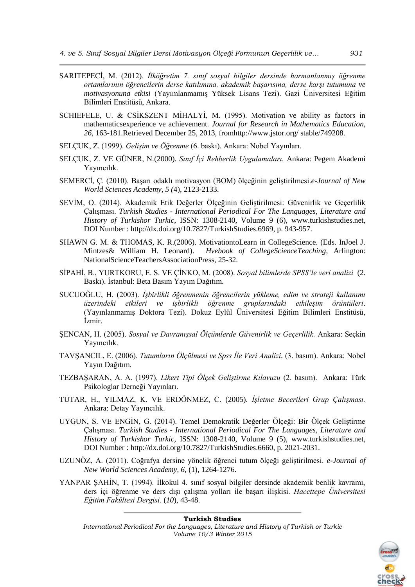- SARITEPECİ, M. (2012). *İlköğretim 7. sınıf sosyal bilgiler dersinde harmanlanmış öğrenme ortamlarının öğrencilerin derse katılımına, akademik başarısına, derse karşı tutumuna ve motivasyonuna etkisi* (Yayımlanmamış Yüksek Lisans Tezi). Gazi Üniversitesi Eğitim Bilimleri Enstitüsü, Ankara.
- SCHIEFELE, U. & CSİKSZENT MİHALYİ, M. (1995). Motivation ve ability as factors in mathematicsexperience ve achievement. *Journal for Research in Mathematics Education, 26,* 163-181.Retrieved December 25, 2013, fro[mhttp://www.jstor.](http://www.jstor/)org/ stable/749208.
- SELÇUK, Z. (1999). *Gelişim ve Öğrenme* (6. baskı). Ankara: Nobel Yayınları.
- SELÇUK, Z. VE GÜNER, N.(2000). *Sınıf İçi Rehberlik Uygulamaları.* Ankara: Pegem Akademi Yayıncılık.
- SEMERCİ, Ç. (2010). Başarı odaklı motivasyon (BOM) ölçeğinin geliştirilmesi.*e-Journal of New World Sciences Academy, 5 (*4), 2123-2133.
- SEVİM, O. (2014). Akademik Etik Değerler Ölçeğinin Geliştirilmesi: Güvenirlik ve Geçerlilik Çalışması. *Turkish Studies - International Periodical For The Languages, Literature and History of Turkishor Turkic,* ISSN: 1308-2140, Volume 9 (6), [www.turkishstudies.net,](http://www.turkishstudies.net/) DOI Number : http://dx.doi.org/10.7827/TurkishStudies.6969, p. 943-957.
- SHAWN G. M. & THOMAS, K. R.(2006). MotivationtoLearn in CollegeScience. (Eds. InJoel J. Mintzes& William H. Leonard). *Hvebook of CollegeScienceTeaching*, Arlington: NationalScienceTeachersAssociationPress, 25-32.
- SİPAHİ, B., YURTKORU, E. S. VE ÇİNKO, M. (2008). *Sosyal bilimlerde SPSS'le veri analizi* (2. Baskı). İstanbul: Beta Basım Yayım Dağıtım.
- SUCUOĞLU, H. (2003). *İşbirlikli öğrenmenin öğrencilerin yükleme, edim ve strateji kullanımı üzerindeki etkileri ve işbirlikli öğrenme gruplarındaki etkileşim örüntüleri*. (Yayınlanmamış Doktora Tezi). Dokuz Eylül Üniversitesi Eğitim Bilimleri Enstitüsü, İzmir.
- ŞENCAN, H. (2005). *Sosyal ve Davranışsal Ölçümlerde Güvenirlik ve Geçerlilik.* Ankara: Seçkin Yayıncılık.
- TAVŞANCIL, E. (2006). *Tutumların Ölçülmesi ve Spss İle Veri Analizi.* (3. basım). Ankara: Nobel Yayın Dağıtım.
- TEZBAŞARAN, A. A. (1997). *Likert Tipi Ölçek Geliştirme Kılavuzu* (2. basım). Ankara: Türk Psikologlar Derneği Yayınları.
- TUTAR, H., YILMAZ, K. VE ERDÖNMEZ, C. (2005). *İşletme Becerileri Grup Çalışması.*  Ankara: Detay Yayıncılık.
- UYGUN, S. VE ENGİN, G. (2014). Temel Demokratik Değerler Ölçeği: Bir Ölçek Geliştirme Çalışması. *Turkish Studies - International Periodical For The Languages, Literature and History of Turkishor Turkic,* ISSN: 1308-2140, Volume 9 (5), [www.turkishstudies.net,](http://www.turkishstudies.net/) DOI Number : http://dx.doi.org/10.7827/TurkishStudies.6660, p. 2021-2031.
- UZUNÖZ, A. (2011). Coğrafya dersine yönelik öğrenci tutum ölçeği geliştirilmesi. *e-Journal of New World Sciences Academy, 6,* (1), 1264-1276.
- YANPAR ŞAHİN, T. (1994). İlkokul 4. sınıf sosyal bilgiler dersinde akademik benlik kavramı, ders içi öğrenme ve ders dışı çalışma yolları ile başarı ilişkisi. *Hacettepe Üniversitesi Eğitim Fakültesi Dergisi.* (*10*), 43-48.

#### **Turkish Studies**

*International Periodical For the Languages, Literature and History of Turkish or Turkic Volume 10/3 Winter 2015*